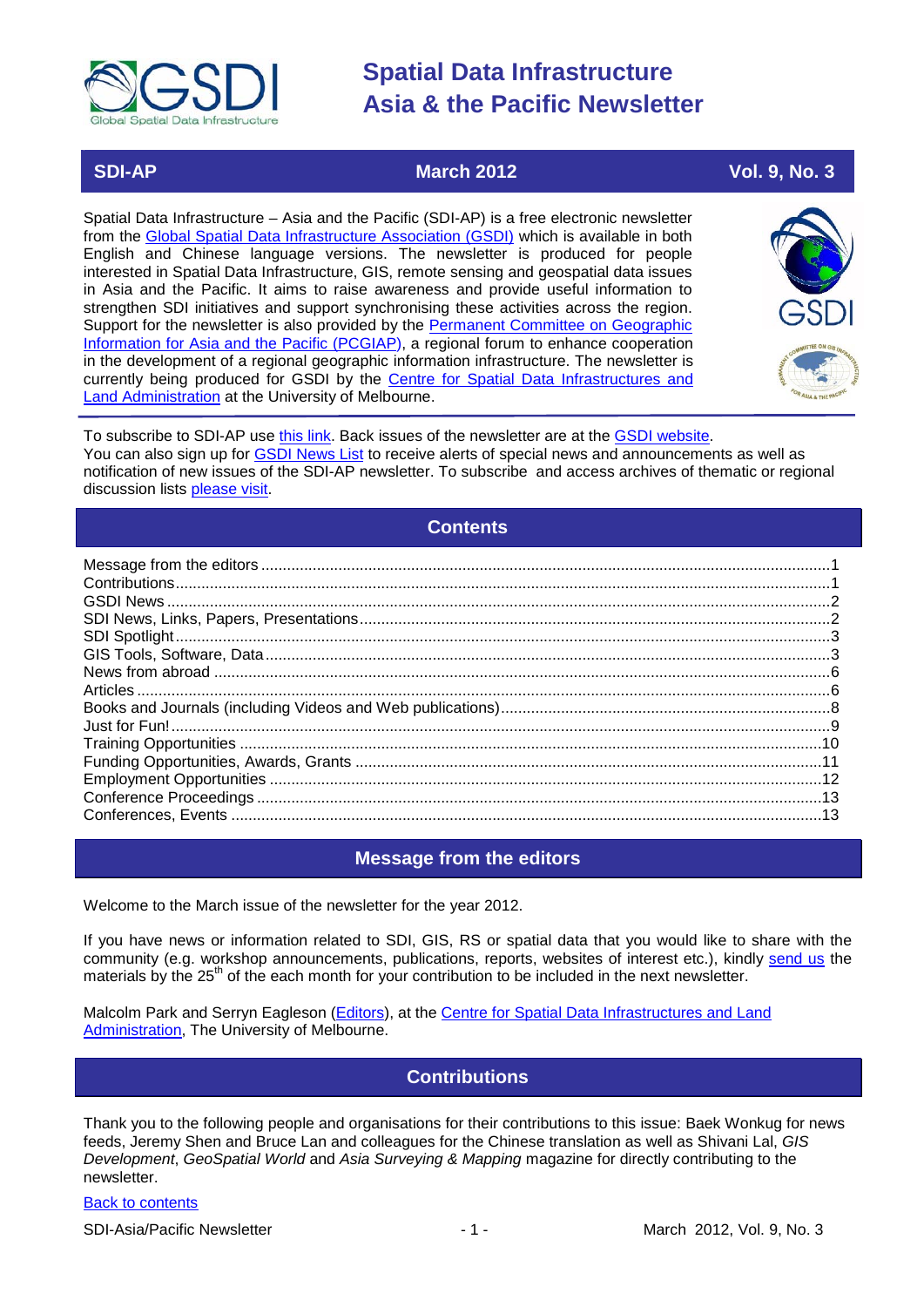

 **SDI-AP March 2012 Vol. 9, No. 3**

Spatial Data Infrastructure – Asia and the Pacific (SDI-AP) is a free electronic newsletter from the [Global Spatial Data Infrastructure Association \(GSDI\)](http://www.gsdi.org/) which is available in both English and Chinese language versions. The newsletter is produced for people interested in Spatial Data Infrastructure, GIS, remote sensing and geospatial data issues in Asia and the Pacific. It aims to raise awareness and provide useful information to strengthen SDI initiatives and support synchronising these activities across the region. Support for the newsletter is also provided by the Permanent Committee on Geographic [Information for Asia and the Pacific \(PCGIAP\)](http://www.pcgiap.org/), a regional forum to enhance cooperation in the development of a regional geographic information infrastructure. The newsletter is currently being produced for GSDI by the [Centre for Spatial Data Infrastructures and](http://www.csdila.unimelb.edu.au/)  [Land Administration](http://www.csdila.unimelb.edu.au/) at the University of Melbourne.



To subscribe to SDI-AP use [this link.](http://www.gsdi.org/newslist/gsdisubscribe.asp) Back issues of the newsletter are at the [GSDI website.](http://www.gsdi.org/newsletters.asp) You can also sign up for **GSDI News List** to receive alerts of special news and announcements as well as notification of new issues of the SDI-AP newsletter. To subscribe and access archives of thematic or regional discussion lists [please visit.](http://www.gsdi.org/discussionlists.asp)

### **Contents**

<span id="page-0-0"></span>

### **Message from the editors**

<span id="page-0-1"></span>Welcome to the March issue of the newsletter for the year 2012.

If you have news or information related to SDI, GIS, RS or spatial data that you would like to share with the community (e.g. workshop announcements, publications, reports, websites of interest etc.), kindly [send us](mailto:.SDI-AP@gsdi.org) the materials by the 25<sup>th</sup> of the each month for your contribution to be included in the next newsletter.

<span id="page-0-2"></span>Malcolm Park and Serryn Eagleson [\(Editors\)](mailto:Editor.SDIAP@gmail.com), at the [Centre for Spatial Data Infrastructures and Land](http://www.csdila.unimelb.edu.au/)  [Administration,](http://www.csdila.unimelb.edu.au/) The University of Melbourne.

### **Contributions**

Thank you to the following people and organisations for their contributions to this issue: Baek Wonkug for news feeds, Jeremy Shen and Bruce Lan and colleagues for the Chinese translation as well as Shivani Lal, *GIS Development*, *GeoSpatial World* and *Asia Surveying & Mapping* magazine for directly contributing to the newsletter.

#### [Back to contents](#page-0-0)

SDI-Asia/Pacific Newsletter 1992 1 - 1 - 1 - March 2012, Vol. 9, No. 3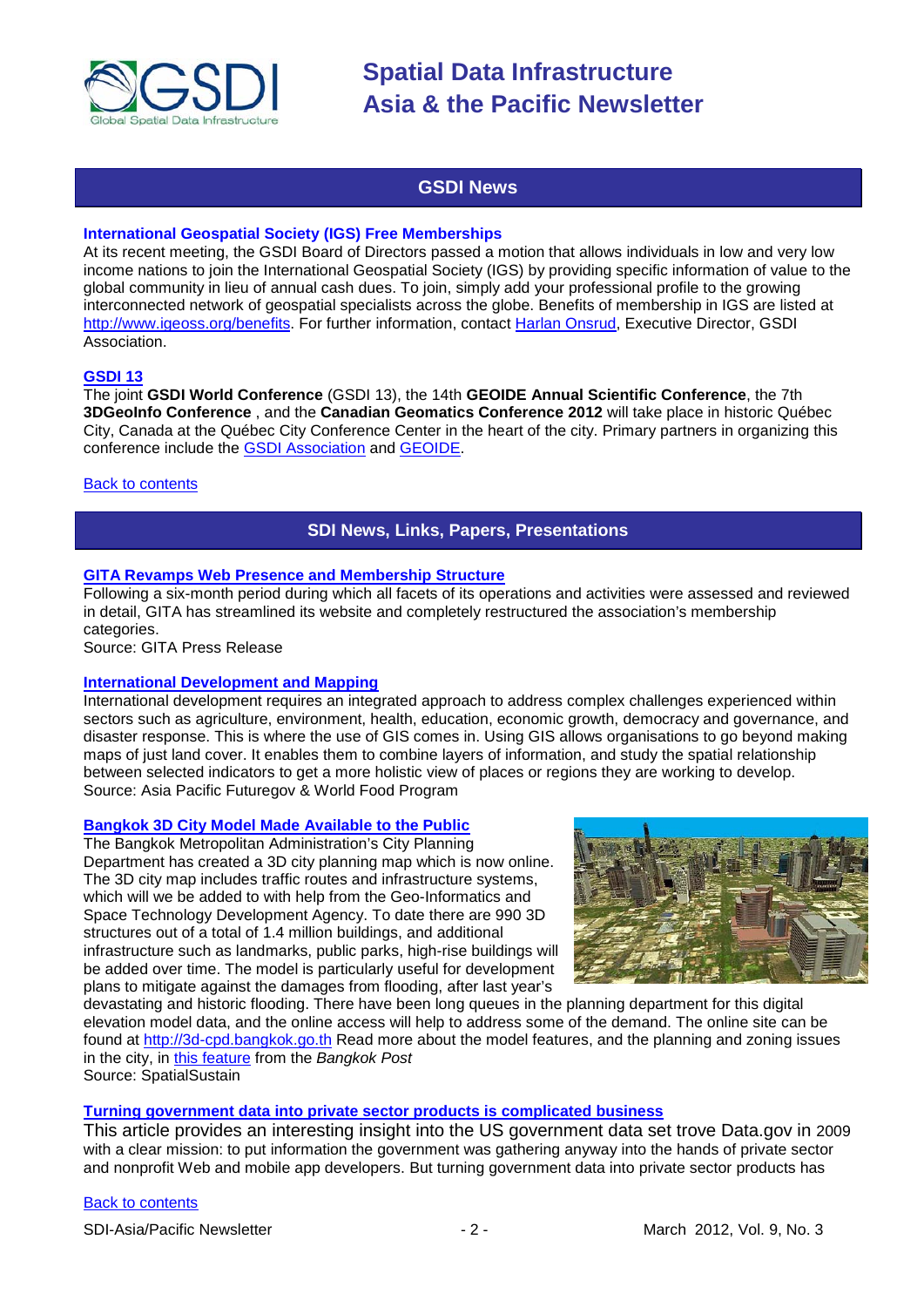

### **GSDI News**

#### <span id="page-1-0"></span>**International Geospatial Society (IGS) Free Memberships**

At its recent meeting, the GSDI Board of Directors passed a motion that allows individuals in low and very low income nations to join the International Geospatial Society (IGS) by providing specific information of value to the global community in lieu of annual cash dues. To join, simply add your professional profile to the growing interconnected network of geospatial specialists across the globe. Benefits of membership in IGS are listed at [http://www.igeoss.org/benefits.](https://owa.unimelb.edu.au/owa/redir.aspx?C=54c2b4d3973d480282dc7c38384f4204&URL=http%3a%2f%2fwww.igeoss.org%2fbenefits) For further information, contact [Harlan Onsrud,](mailto:onsrud@gsdi.org) Executive Director, GSDI Association.

#### **[GSDI 13](http://www.gsdi.org/gsdiconf/gsdi13/)**

The joint **GSDI World Conference** (GSDI 13), the 14th **GEOIDE Annual Scientific Conference**, the 7th **3DGeoInfo Conference** , and the **Canadian Geomatics Conference 2012** will take place in historic Québec City, Canada at the Québec City Conference Center in the heart of the city. Primary partners in organizing this conference include the [GSDI Association](http://www.gsdi.org/) and [GEOIDE.](http://www.geoide.ulaval.ca/)

#### <span id="page-1-1"></span>[Back to contents](#page-0-0)

#### **SDI News, Links, Papers, Presentations**

#### **[GITA Revamps Web Presence and Membership Structure](http://www.gita.org/documents/MembershipPressRelease.pdf)**

Following a six-month period during which all facets of its operations and activities were assessed and reviewed in detail, GITA has streamlined its website and completely restructured the association's membership categories.

Source: GITA Press Release

#### **[International Development and Mapping](http://www.futuregov.asia/blog/2012/feb/28/international-development-and-mapping/)**

International development requires an integrated approach to address complex challenges experienced within sectors such as agriculture, environment, health, education, economic growth, democracy and governance, and disaster response. This is where the use of GIS comes in. Using GIS allows organisations to go beyond making maps of just land cover. It enables them to combine layers of information, and study the spatial relationship between selected indicators to get a more holistic view of places or regions they are working to develop. Source: Asia Pacific Futuregov & World Food Program

#### **[Bangkok 3D City Model Made Available to the Public](http://www.vector1media.com/spatialsustain/bangkok-3d-city-model-made-available-to-the-public.html?utm_source=feedburner&utm_medium=feed&utm_campaign=Feed%3A+SpatialSustain+%28Spatial+Sustain%29&utm_content=Google+Reader)**

The Bangkok Metropolitan Administration's City Planning Department has created a 3D city planning map which is now online. The 3D city map includes traffic routes and infrastructure systems, which will we be added to with help from the Geo-Informatics and Space Technology Development Agency. To date there are 990 3D structures out of a total of 1.4 million buildings, and additional infrastructure such as landmarks, public parks, high-rise buildings will be added over time. The model is particularly useful for development plans to mitigate against the damages from flooding, after last year's



devastating and historic flooding. There have been long queues in the planning department for this digital elevation model data, and the online access will help to address some of the demand. The online site can be found at [http://3d-cpd.bangkok.go.th](http://3d-cpd.bangkok.go.th/) Read more about the model features, and the planning and zoning issues in the city, in [this feature](http://www.bangkokpost.com/news/local/278239/mapping-out-where-to-live-and-build) from the *Bangkok Post* Source: SpatialSustain

**[Turning government data into private sector products is complicated business](http://www.nextgov.com/nextgov/ng_20120209_3976.php)**

This article provides an interesting insight into the US government data set trove Data.gov in 2009 with a clear mission: to put information the government was gathering anyway into the hands of private sector and nonprofit Web and mobile app developers. But turning government data into private sector products has

#### **[Back to contents](#page-0-0)**

SDI-Asia/Pacific Newsletter  $\sim$  2 - March 2012, Vol. 9, No. 3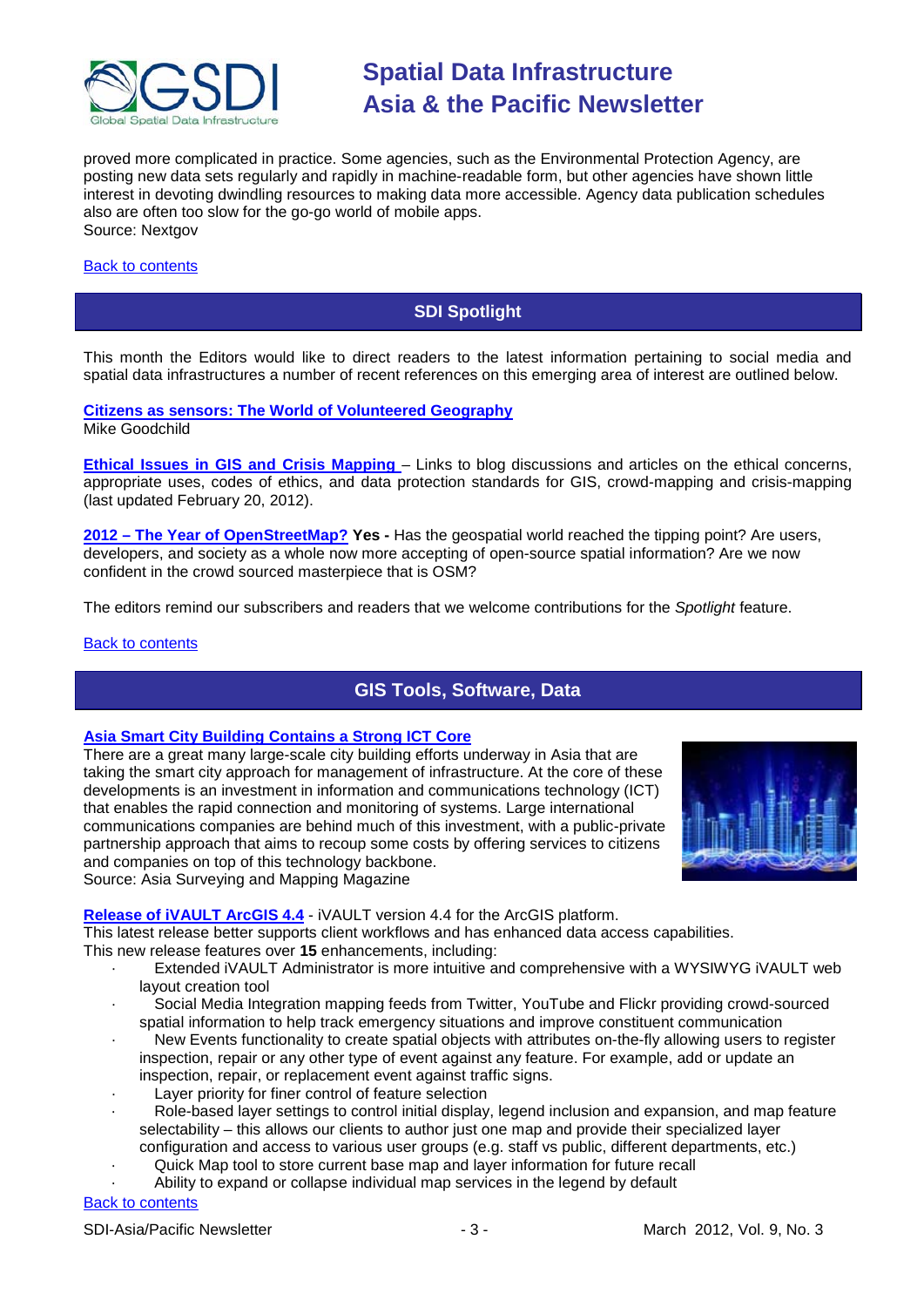

proved more complicated in practice. Some agencies, such as the Environmental Protection Agency, are posting new data sets regularly and rapidly in machine-readable form, but other agencies have shown little interest in devoting dwindling resources to making data more accessible. Agency data publication schedules also are often too slow for the go-go world of mobile apps. Source: Nextgov

#### <span id="page-2-0"></span>[Back to contents](#page-0-0)

### **SDI Spotlight**

This month the Editors would like to direct readers to the latest information pertaining to social media and spatial data infrastructures a number of recent references on this emerging area of interest are outlined below.

**[Citizens as sensors: The World of Volunteered Geography](http://www.ncgia.ucsb.edu/projects/vgi/docs/position/Goodchild_VGI2007.pdf)** Mike Goodchild

**[Ethical Issues in GIS and Crisis Mapping](http://geodatapolicy.wordpress.com/2012/02/14/ethical-issues-and-mapping/)** – Links to blog discussions and articles on the ethical concerns, appropriate uses, codes of ethics, and data protection standards for GIS, crowd-mapping and crisis-mapping (last updated February 20, 2012).

**2012 – [The Year of OpenStreetMap?](http://www.gisdoctor.com/site/2012/02/29/2012-year-openstreetmap-yes/) Yes -** Has the geospatial world reached the tipping point? Are users, developers, and society as a whole now more accepting of open-source spatial information? Are we now confident in the crowd sourced masterpiece that is OSM?

The editors remind our subscribers and readers that we welcome contributions for the *Spotlight* feature.

#### <span id="page-2-1"></span>[Back to contents](#page-0-0)

### **GIS Tools, Software, Data**

#### **[Asia Smart City Building Contains a Strong ICT Core](http://www.asmmag.com/201202233222/asia-smart-city-building-contains-a-strong-ict-core.html)**

There are a great many large-scale city building efforts underway in Asia that are taking the smart city approach for management of infrastructure. At the core of these developments is an investment in information and communications technology (ICT) that enables the rapid connection and monitoring of systems. Large international communications companies are behind much of this investment, with a public-private partnership approach that aims to recoup some costs by offering services to citizens and companies on top of this technology backbone. Source: Asia Surveying and Mapping Magazine



### Release of iVAULT ArcGIS 4.4 - iVAULT version 4.4 for the ArcGIS platform.

This latest release better supports client workflows and has enhanced data access capabilities. This new release features over **15** enhancements, including:

- Extended iVAULT Administrator is more intuitive and comprehensive with a WYSIWYG IVAULT web layout creation tool
- · Social Media Integration mapping feeds from Twitter, YouTube and Flickr providing crowd-sourced spatial information to help track emergency situations and improve constituent communication
- New Events functionality to create spatial objects with attributes on-the-fly allowing users to register inspection, repair or any other type of event against any feature. For example, add or update an inspection, repair, or replacement event against traffic signs.
- Layer priority for finer control of feature selection
- Role-based layer settings to control initial display, legend inclusion and expansion, and map feature selectability – this allows our clients to author just one map and provide their specialized layer configuration and access to various user groups (e.g. staff vs public, different departments, etc.)
	- Quick Map tool to store current base map and layer information for future recall
- Ability to expand or collapse individual map services in the legend by default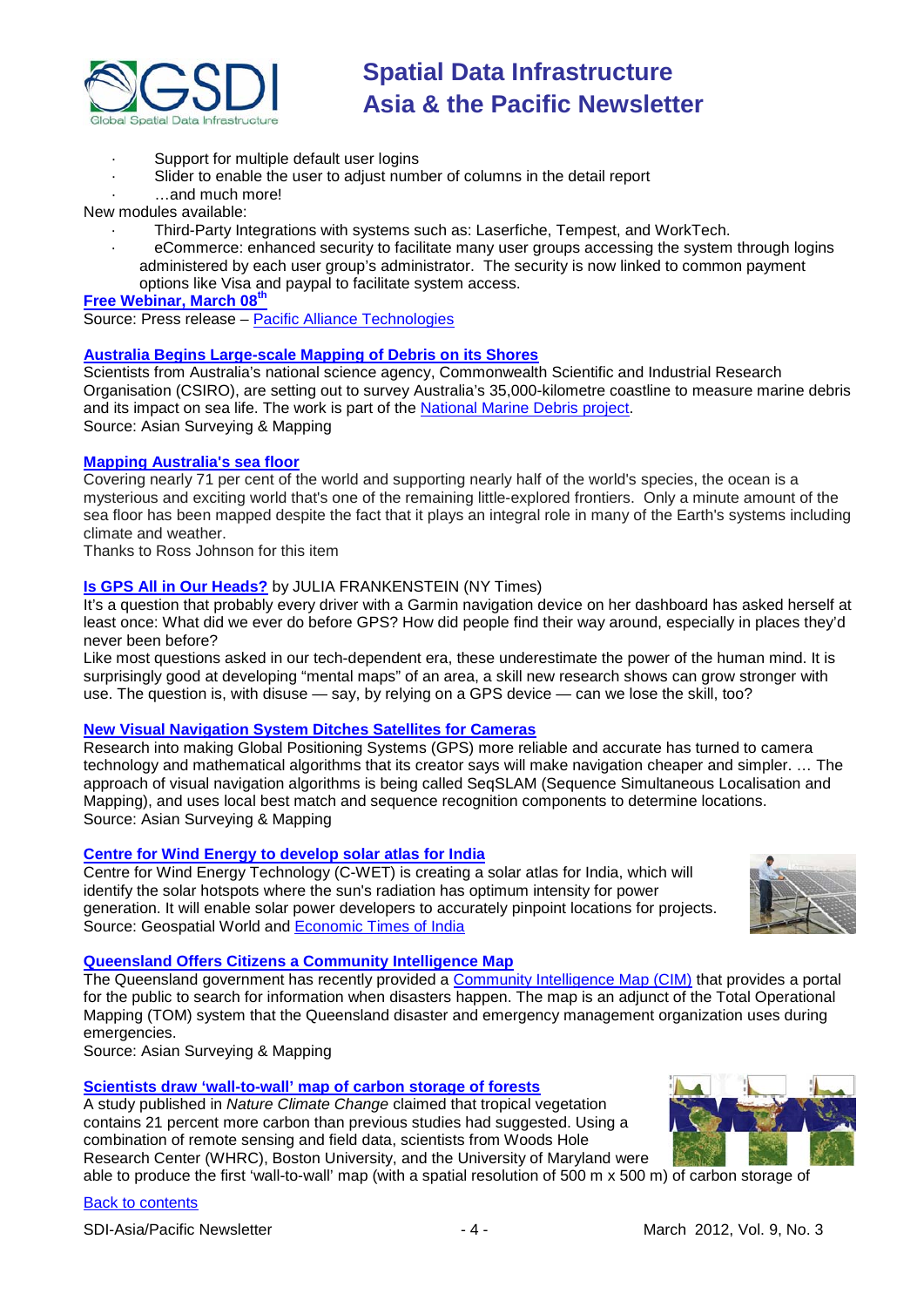

- · Support for multiple default user logins
	- Slider to enable the user to adjust number of columns in the detail report
- · …and much more!

New modules available:

- · Third-Party Integrations with systems such as: Laserfiche, Tempest, and WorkTech.
- · eCommerce: enhanced security to facilitate many user groups accessing the system through logins administered by each user group's administrator. The security is now linked to common payment options like Visa and paypal to facilitate system access.

**[Free Webinar, March 08](http://ivault.pat.ca/webinars/)th**

Source: Press release – [Pacific Alliance Technologies](http://www.pat.ca/)

#### **[Australia Begins Large-scale Mapping of Debris on its Shores](http://www.asmmag.com/201202233223/australia-begins-large-scale-mapping-of-debris-on-its-shores.html)**

Scientists from Australia's national science agency, Commonwealth Scientific and Industrial Research Organisation (CSIRO), are setting out to survey Australia's 35,000-kilometre coastline to measure marine debris and its impact on sea life. The work is part of the <u>National Marine Debris project</u>. Source: Asian Surveying & Mapping

#### **[Mapping Australia's sea floor](http://www.australiangeographic.com.au/journal/mapping-australias-sea-floor.htm)**

Covering nearly 71 per cent of the world and supporting nearly half of the world's species, the ocean is a mysterious and exciting world that's one of the remaining little-explored frontiers. Only a minute amount of the sea floor has been mapped despite the fact that it plays an integral role in many of the Earth's systems including climate and weather.

Thanks to Ross Johnson for this item

#### **[Is GPS All in Our Heads?](http://www.nytimes.com/2012/02/05/opinion/sunday/is-gps-all-in-our-head.html?_r=1)** by JULIA FRANKENSTEIN (NY Times)

It's a question that probably every driver with a Garmin navigation device on her dashboard has asked herself at least once: What did we ever do before GPS? How did people find their way around, especially in places they'd never been before?

Like most questions asked in our tech-dependent era, these underestimate the power of the human mind. It is surprisingly good at developing "mental maps" of an area, a skill new research shows can grow stronger with use. The question is, with disuse — say, by relying on a GPS device — can we lose the skill, too?

#### **[New Visual Navigation System Ditches Satellites for Cameras](http://www.asmmag.com/201202163168/queensland-university-develops-navigation-systems-that-ditches-satellites.html)**

Research into making Global Positioning Systems (GPS) more reliable and accurate has turned to camera technology and mathematical algorithms that its creator says will make navigation cheaper and simpler. … The approach of visual navigation algorithms is being called SeqSLAM (Sequence Simultaneous Localisation and Mapping), and uses local best match and sequence recognition components to determine locations. Source: Asian Surveying & Mapping

#### **[Centre for Wind Energy to develop solar atlas for India](http://geospatialworld.net/index.php?option=com_content&view=article&id=24006%3Acentre-for-wind-energy-to-develop-solar-atlas-for-india&catid=49%3Aproduct-data&Itemid=1)**

Centre for Wind Energy Technology (C-WET) is creating a solar atlas for India, which will identify the solar hotspots where the sun's radiation has optimum intensity for power generation. It will enable solar power developers to accurately pinpoint locations for projects. Source: Geospatial World and [Economic Times of India](http://articles.economictimes.indiatimes.com/2012-01-30/news/31005560_1_national-solar-mission-solar-power-project-developers)



#### **[Queensland Offers Citizens a Community Intelligence Map](http://www.asmmag.com/201202093132/queensland-offers-citizens-a-community-intelligence-map.html)**

The Queensland government has recently provided a [Community Intelligence Map \(CIM\)](http://www.qld.gov.au/emergency/news/features/comintellmap.html#!lightbox-uid-0) that provides a portal for the public to search for information when disasters happen. The map is an adjunct of the Total Operational Mapping (TOM) system that the Queensland disaster and emergency management organization uses during emergencies.

Source: Asian Surveying & Mapping

#### **[Scientists draw 'wall-to-wall' map of carbon storage of forests](http://geospatialworld.net/index.php?option=com_content&view=article&id=24005%3Ascientist-draw-wall-to-wall-map-of-carbon-storage-of-forests&catid=49%3Aproduct-data&Itemid=1)**

A study published in *Nature Climate Change* claimed that tropical vegetation contains 21 percent more carbon than previous studies had suggested. Using a combination of remote sensing and field data, scientists from Woods Hole Research Center (WHRC), Boston University, and the University of Maryland were

able to produce the first 'wall-to-wall' map (with a spatial resolution of 500 m x 500 m) of carbon storage of

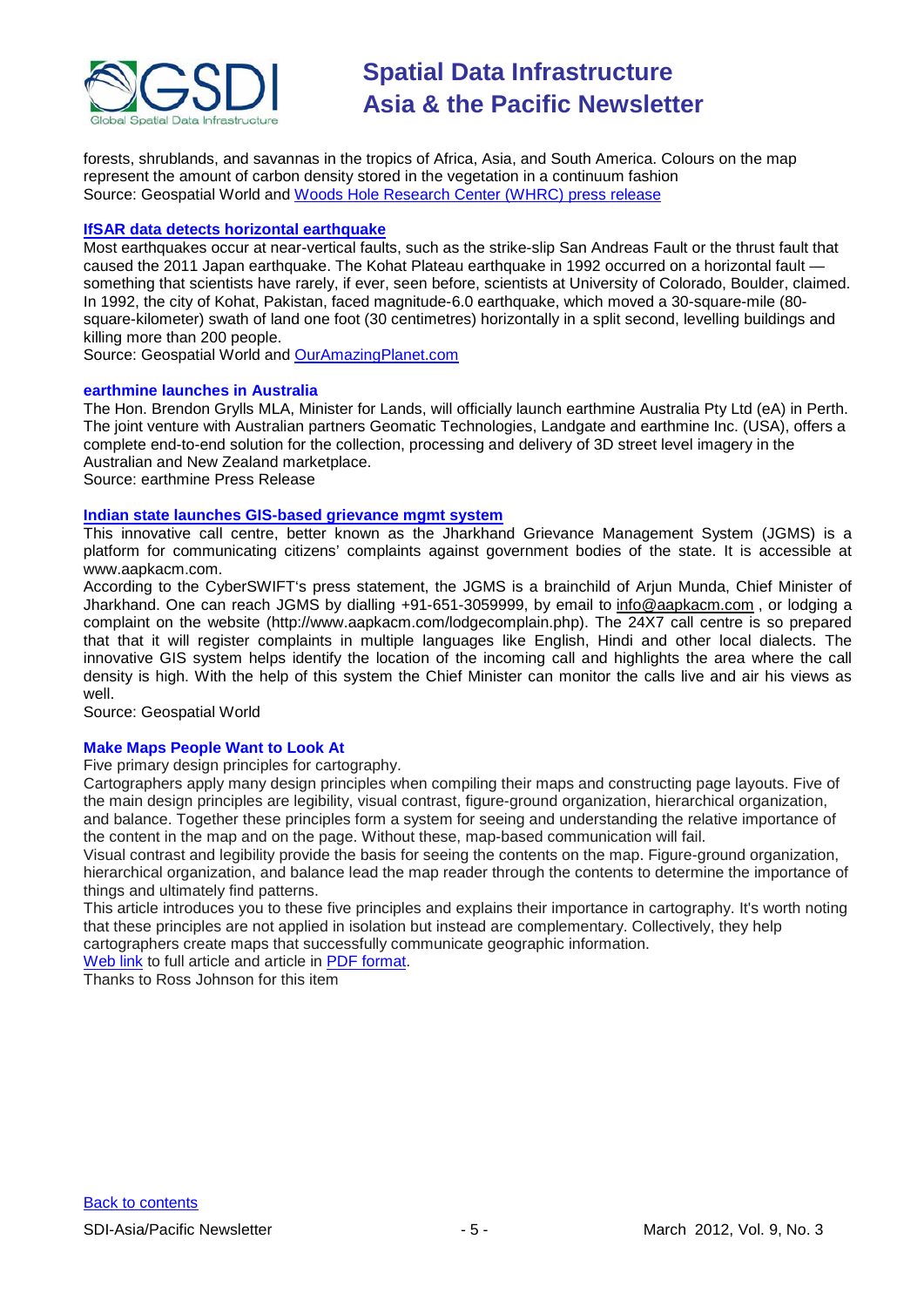

forests, shrublands, and savannas in the tropics of Africa, Asia, and South America. Colours on the map represent the amount of carbon density stored in the vegetation in a continuum fashion Source: Geospatial World and [Woods Hole Research Center \(WHRC\) press release](http://www.whrc.org/news/pressroom/PR-2012-CarbonDataset.html)

#### **[IfSAR data detects horizontal earthquake](http://geospatialworld.net/index.php?option=com_content&view=article&id=23968%3Aifsar-data-detects-horizontal-earthquake&catid=74%3Amiscellaneous-research&Itemid=1)**

Most earthquakes occur at near-vertical faults, such as the strike-slip San Andreas Fault or the thrust fault that caused the 2011 Japan earthquake. The Kohat Plateau earthquake in 1992 occurred on a horizontal fault something that scientists have rarely, if ever, seen before, scientists at University of Colorado, Boulder, claimed. In 1992, the city of Kohat, Pakistan, faced magnitude-6.0 earthquake, which moved a 30-square-mile (80 square-kilometer) swath of land one foot (30 centimetres) horizontally in a split second, levelling buildings and killing more than 200 people.

Source: Geospatial World and [OurAmazingPlanet.com](http://www.ouramazingplanet.com/2269-rare-caterpillar-horizontal-earthquake-discovered.html)

#### **earthmine launches in Australia**

The Hon. Brendon Grylls MLA, Minister for Lands, will officially launch earthmine Australia Pty Ltd (eA) in Perth. The joint venture with Australian partners Geomatic Technologies, Landgate and earthmine Inc. (USA), offers a complete end-to-end solution for the collection, processing and delivery of 3D street level imagery in the Australian and New Zealand marketplace.

Source: earthmine Press Release

#### **[Indian state launches GIS-based grievance mgmt system](http://geospatialworld.net/index.php?option=com_content&view=article&id=23974%3Aindian-state-launches-gis-based-grievance-mgmt-system&catid=62%3Aapplication-e-governance&Itemid=1)**

This innovative call centre, better known as the Jharkhand Grievance Management System (JGMS) is a platform for communicating citizens' complaints against government bodies of the state. It is accessible at www.aapkacm.com.

According to the CyberSWIFT's press statement, the JGMS is a brainchild of Arjun Munda, Chief Minister of Jharkhand. One can reach JGMS by dialling +91-651-3059999, by email to [info@aapkacm.com](mailto:info@aapkacm.com) , or lodging a complaint on the website (http://www.aapkacm.com/lodgecomplain.php). The 24X7 call centre is so prepared that that it will register complaints in multiple languages like English, Hindi and other local dialects. The innovative GIS system helps identify the location of the incoming call and highlights the area where the call density is high. With the help of this system the Chief Minister can monitor the calls live and air his views as well.

Source: Geospatial World

#### **Make Maps People Want to Look At**

Five primary design principles for cartography.

Cartographers apply many design principles when compiling their maps and constructing page layouts. Five of the main design principles are legibility, visual contrast, figure-ground organization, hierarchical organization, and balance. Together these principles form a system for seeing and understanding the relative importance of the content in the map and on the page. Without these, map-based communication will fail.

Visual contrast and legibility provide the basis for seeing the contents on the map. Figure-ground organization, hierarchical organization, and balance lead the map reader through the contents to determine the importance of things and ultimately find patterns.

This article introduces you to these five principles and explains their importance in cartography. It's worth noting that these principles are not applied in isolation but instead are complementary. Collectively, they help cartographers create maps that successfully communicate geographic information.

[Web link](http://www.esri.com/news/arcuser/0112/make-maps-people-want-to-look-at.html) to full article and article in [PDF format.](http://www.esri.com/news/arcuser/0112/files/design-principles.pdf)

Thanks to Ross Johnson for this item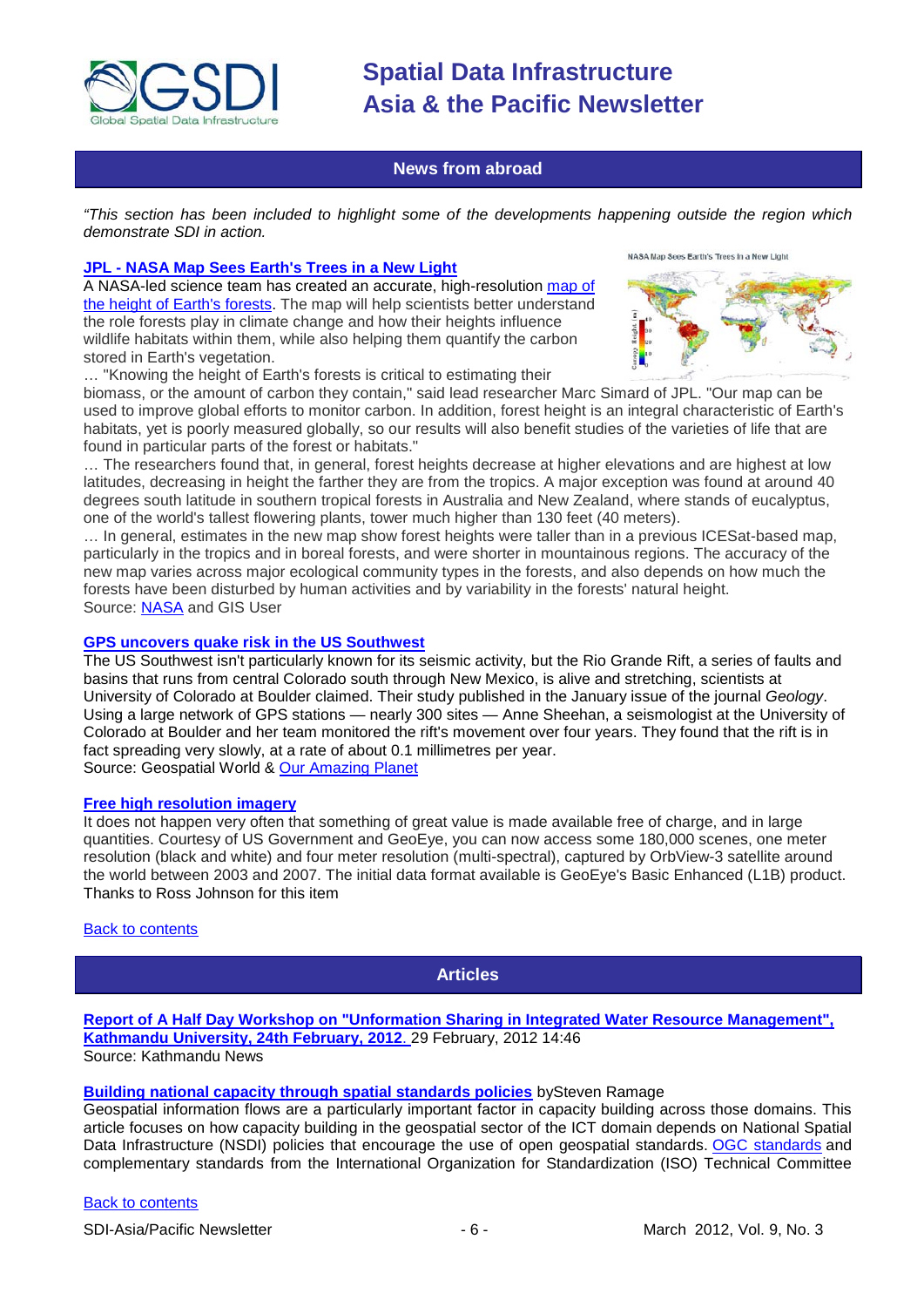

#### **News from abroad**

<span id="page-5-0"></span>*"This section has been included to highlight some of the developments happening outside the region which demonstrate SDI in action.*

#### **JPL - [NASA Map Sees Earth's Trees in a New Light](http://www.gisuser.com/content/view/25929/2/)**

A NASA-led science team has created an accurate, high-resolution [map of](http://lidarradar.jpl.nasa.gov/) [the height of Earth's forests.](http://lidarradar.jpl.nasa.gov/) The map will help scientists better understand the role forests play in climate change and how their heights influence wildlife habitats within them, while also helping them quantify the carbon stored in Earth's vegetation.





… "Knowing the height of Earth's forests is critical to estimating their

biomass, or the amount of carbon they contain," said lead researcher Marc Simard of JPL. "Our map can be used to improve global efforts to monitor carbon. In addition, forest height is an integral characteristic of Earth's habitats, yet is poorly measured globally, so our results will also benefit studies of the varieties of life that are found in particular parts of the forest or habitats."

… The researchers found that, in general, forest heights decrease at higher elevations and are highest at low latitudes, decreasing in height the farther they are from the tropics. A major exception was found at around 40 degrees south latitude in southern tropical forests in Australia and New Zealand, where stands of eucalyptus, one of the world's tallest flowering plants, tower much higher than 130 feet (40 meters).

… In general, estimates in the new map show forest heights were taller than in a previous ICESat-based map, particularly in the tropics and in boreal forests, and were shorter in mountainous regions. The accuracy of the new map varies across major ecological community types in the forests, and also depends on how much the forests have been disturbed by human activities and by variability in the forests' natural height. Source: [NASA](http://www.nasa.gov/topics/earth/features/earth20120217map.html) and GIS User

#### **[GPS uncovers quake risk in the US Southwest](http://geospatialworld.net/index.php?option=com_content&view=article&id=23963%3Agps-uncovers-quake-risk-in-the-us-southwest&catid=53%3Aapplication-natural-hazard-management&Itemid=1)**

The US Southwest isn't particularly known for its seismic activity, but the Rio Grande Rift, a series of faults and basins that runs from central Colorado south through New Mexico, is alive and stretching, scientists at University of Colorado at Boulder claimed. Their study published in the January issue of the journal *Geology*. Using a large network of GPS stations — nearly 300 sites — Anne Sheehan, a seismologist at the University of Colorado at Boulder and her team monitored the rift's movement over four years. They found that the rift is in fact spreading very slowly, at a rate of about 0.1 millimetres per year. Source: Geospatial World & [Our Amazing Planet](http://www.ouramazingplanet.com/2325-gps-uncovers-southwest-quake-risk.html)

#### **[Free high resolution imagery](http://earthexplorer.usgs.gov/)**

It does not happen very often that something of great value is made available free of charge, and in large quantities. Courtesy of US Government and GeoEye, you can now access some 180,000 scenes, one meter resolution (black and white) and four meter resolution (multi-spectral), captured by OrbView-3 satellite around the world between 2003 and 2007. The initial data format available is GeoEye's Basic Enhanced (L1B) product. Thanks to Ross Johnson for this item

#### <span id="page-5-1"></span>[Back to contents](#page-0-0)

### **Articles**

**[Report of A Half Day Workshop on "Unformation Sharing in Integrated Water Resource Management",](http://www.ku.edu.np/news/index.php?op=ViewArticle&articleId=376&blogId=1)  [Kathmandu University, 24th February, 2012](http://www.ku.edu.np/news/index.php?op=ViewArticle&articleId=376&blogId=1)**. 29 February, 2012 14:46 Source: Kathmandu News

#### **[Building national capacity through spatial standards policies](http://mycoordinates.org/building-national-capacity-through-spatial-standards-policies/)** b[ySteven Ramage](http://mycoordinates.org/tag/steven-ramage/)

Geospatial information flows are a particularly important factor in capacity building across those domains. This article focuses on how capacity building in the geospatial sector of the ICT domain depends on National Spatial Data Infrastructure (NSDI) policies that encourage the use of open geospatial standards. [OGC standards](http://www.opengeospatial.org/standards) and complementary standards from the International Organization for Standardization (ISO) Technical Committee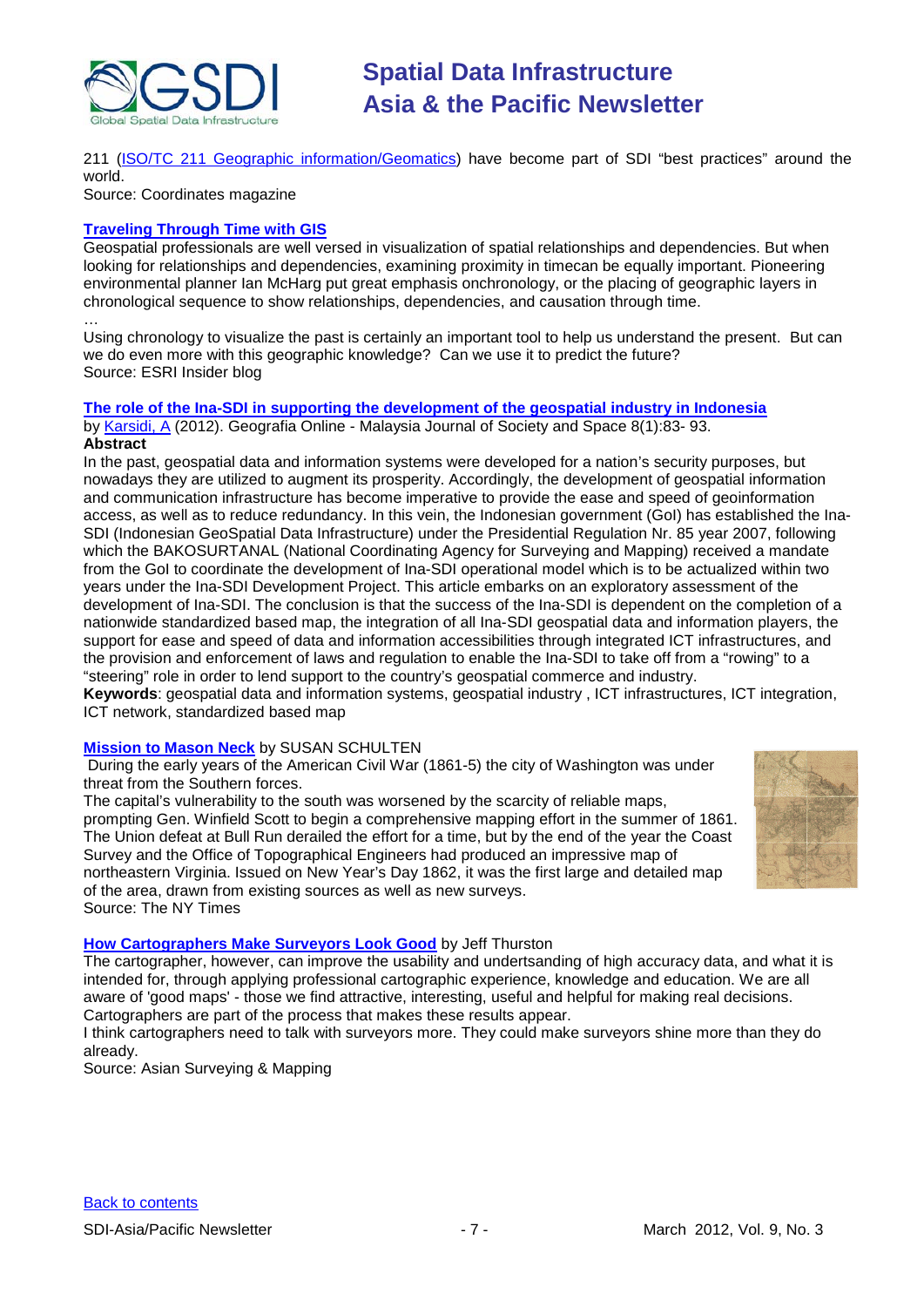

211 [\(ISO/TC 211 Geographic information/Geomatics\)](http://www.isotc211.org/) have become part of SDI "best practices" around the world.

Source: Coordinates magazine

#### **[Traveling Through Time with GIS](http://blogs.esri.com/Info/blogs/esri-insider/archive/2012/01/26/Travelling-through-Time-with-GIS.aspx)**

Geospatial professionals are well versed in visualization of spatial relationships and dependencies. But when looking for relationships and dependencies, examining proximity in timecan be equally important. Pioneering environmental planner [Ian McHarg](http://en.wikipedia.org/wiki/Ian_McHarg) put great emphasis onchronology, or the placing of geographic layers in chronological sequence to show relationships, dependencies, and causation through time.

… Using chronology to visualize the past is certainly an important tool to help us understand the present. But can we do even more with this geographic knowledge? Can we use it to predict the future? Source: ESRI Insider blog

## **[The role of the Ina-SDI in supporting the development of the geospatial industry in Indonesia](http://www.ukm.my/geografia/images/upload/9.geografia-jan%202012-AKarsidi_english-edited%20final.pdf)**

by [Karsidi, A](mailto:akarsidi@gmail.com) (2012). Geografia Online - Malaysia Journal of Society and Space 8(1):83- 93. **Abstract**

In the past, geospatial data and information systems were developed for a nation's security purposes, but nowadays they are utilized to augment its prosperity. Accordingly, the development of geospatial information and communication infrastructure has become imperative to provide the ease and speed of geoinformation access, as well as to reduce redundancy. In this vein, the Indonesian government (GoI) has established the Ina-SDI (Indonesian GeoSpatial Data Infrastructure) under the Presidential Regulation Nr. 85 year 2007, following which the BAKOSURTANAL (National Coordinating Agency for Surveying and Mapping) received a mandate from the GoI to coordinate the development of Ina-SDI operational model which is to be actualized within two years under the Ina-SDI Development Project. This article embarks on an exploratory assessment of the development of Ina-SDI. The conclusion is that the success of the Ina-SDI is dependent on the completion of a nationwide standardized based map, the integration of all Ina-SDI geospatial data and information players, the support for ease and speed of data and information accessibilities through integrated ICT infrastructures, and the provision and enforcement of laws and regulation to enable the Ina-SDI to take off from a "rowing" to a "steering" role in order to lend support to the country's geospatial commerce and industry.

**Keywords**: geospatial data and information systems, geospatial industry , ICT infrastructures, ICT integration, ICT network, standardized based map

#### **[Mission to Mason Neck](http://opinionator.blogs.nytimes.com/2012/02/24/mission-to-mason-neck/?scp=1&sq=map%20%22civil%20war%22&st=Search)** by [SUSAN SCHULTEN](http://opinionator.blogs.nytimes.com/author/susan-schulten/)

During the early years of the American Civil War (1861-5) the city of Washington was under threat from the Southern forces.

The capital's vulnerability to the south was worsened by the scarcity of reliable maps, prompting Gen. Winfield Scott to begin a comprehensive mapping effort in the summer of 1861. The Union defeat at Bull Run derailed the effort for a time, but by the end of the year the Coast Survey and the Office of Topographical Engineers had produced an impressive map of northeastern Virginia. Issued on New Year's Day 1862, it was the first large and detailed map of the area, drawn from existing sources as well as new surveys. Source: The NY Times



**[How Cartographers Make Surveyors Look Good](http://www.asmmag.com/201202243225/how-cartographers-make-surveyors-look-good.html)** by Jeff Thurston

The cartographer, however, can improve the usability and undertsanding of high accuracy data, and what it is intended for, through applying professional cartographic experience, knowledge and education. We are all aware of 'good maps' - those we find attractive, interesting, useful and helpful for making real decisions. Cartographers are part of the process that makes these results appear.

I think cartographers need to talk with surveyors more. They could make surveyors shine more than they do already.

Source: Asian Surveying & Mapping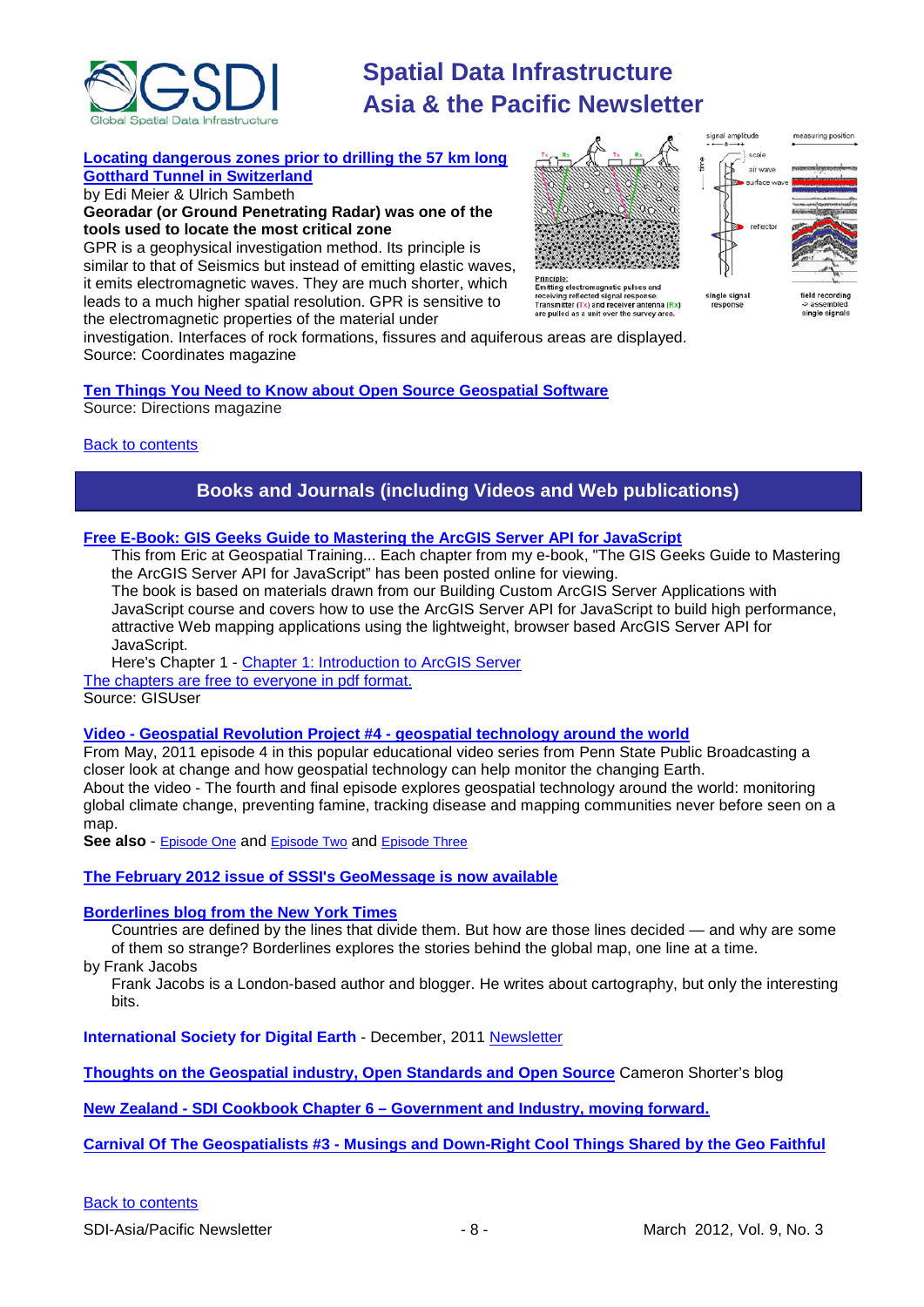

#### **[Locating dangerous zones prior to drilling the 57 km long](http://mycoordinates.org/locating-dangerous-zones-prior-to-drilling-the-57-km-long-gotthard-tunnel-in-switzerland/)**

**[Gotthard Tunnel in Switzerland](http://mycoordinates.org/locating-dangerous-zones-prior-to-drilling-the-57-km-long-gotthard-tunnel-in-switzerland/)**

by Edi Meier & Ulrich Sambeth **Georadar (or Ground Penetrating Radar) was one of the tools used to locate the most critical zone**

GPR is a geophysical investigation method. Its principle is similar to that of Seismics but instead of emitting elastic waves, it emits electromagnetic waves. They are much shorter, which leads to a much higher spatial resolution. GPR is sensitive to the electromagnetic properties of the material under

Emitting electromagnetic pulses and<br>receiving reflected signal response.<br>Transmitter (Tx) and receiver antenna (Rx)<br>are pulled as a unit over the survey area.



single signa

ingle signals

investigation. Interfaces of rock formations, fissures and aquiferous areas are displayed. Source: Coordinates magazine

#### **[Ten Things You Need to Know about Open Source Geospatial Software](http://www.directionsmag.com/articles/ten-things-you-need-to-know-about-open-source-geospatial-software/233177)** Source: Directions magazine

<span id="page-7-0"></span>[Back to contents](#page-0-0)

### **Books and Journals (including Videos and Web publications)**

#### **Free E-Book: GIS Geeks Guide to Mastering the ArcGIS Server API for JavaScript**

This from Eric at Geospatial Training... Each chapter from my e-book, "The GIS Geeks Guide to Mastering the ArcGIS Server API for JavaScript" has been posted online for viewing.

The book is based on materials drawn from our Building Custom ArcGIS Server Applications with JavaScript course and covers how to use the ArcGIS Server API for JavaScript to build high performance, attractive Web mapping applications using the lightweight, browser based ArcGIS Server API for JavaScript.

Here's Chapter 1 - [Chapter 1: Introduction to ArcGIS Server](https://s3.amazonaws.com/VirtualGISClassroom/Book_AGIS_API_JavaScript/Chapter_Intro_ArcGIS_Server.pdf)

[The chapters are free to everyone in pdf format.](http://www.geospatialtraining.com/blog/?page_id=1862)

Source: GISUser

#### **Video - Geospatial Revolution Project #4 - [geospatial technology around the world](http://www.youtube.com/watch?v=9F7z9LLYxf8)**

From May, 2011 episode 4 in this popular educational video series from Penn State Public Broadcasting a closer look at change and how geospatial technology can help monitor the changing Earth. About the video - The fourth and final episode explores geospatial technology around the world: monitoring global climate change, preventing famine, tracking disease and mapping communities never before seen on a map.

**See also** - [Episode](http://www.youtube.com/watch?v=poMGRbfgp38) One and [Episode](http://www.youtube.com/watch?v=GXS0bsR0e7w) Two and [Episode](http://www.youtube.com/watch?v=OePOK6nzcaY) Three

**[The February 2012 issue of SSSI's GeoMessage is now available](http://www.sssi.org.au/userfiles/docs/SSSI%20Geo%20Message/documents_13282331871656024358.html)**

#### **[Borderlines blog from the New York Times](http://opinionator.blogs.nytimes.com/category/borderlines/)**

Countries are defined by the lines that divide them. But how are those lines decided — and why are some of them so strange? Borderlines explores the stories behind the global map, one line at a time.

by Frank Jacobs

Frank Jacobs is a London-based author and blogger. He writes about cartography, but only the interesting bits.

**International Society for Digital Earth** - December, 2011 [Newsletter](http://www.digitalearth-isde.org/news/ISDE-Newsletter.html)

**[Thoughts on the Geospatial industry, Open Standards and Open Source](http://cameronshorter.blogspot.com/2011/06/memoirs-of-cat-herder-coordinating.html)** Cameron Shorter's blog

**New Zealand - SDI Cookbook Chapter 6 – [Government and Industry, moving forward.](http://www.geospatial.govt.nz/sdi-cookbook-chapter-6-government-and-industry-moving-forward)**

**Carnival Of The Geospatialists #3 - [Musings and Down-Right Cool Things Shared by the Geo Faithful](http://www.gisuser.com/content/view/25690/28/)**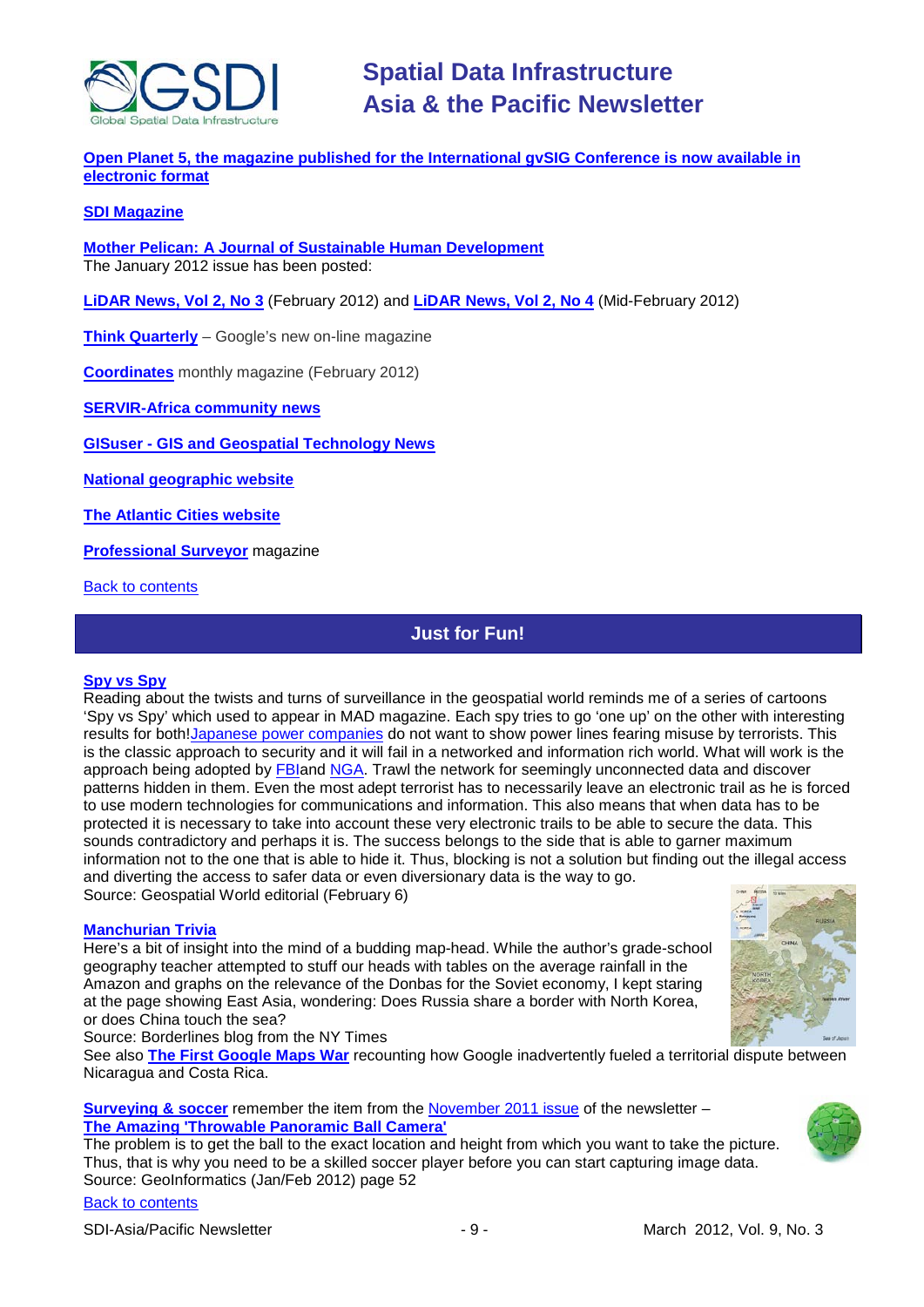

**Open Planet 5, the magazine published for the International gvSIG Conference is now available in [electronic format](http://jornadas.gvsig.org/descargas/magazine)**

#### **[SDI Magazine](http://www.sdimag.com/)**

**[Mother Pelican: A Journal of Sustainable Human Development](http://www.pelicanweb.org/solisustv08n01page1.html)** The January 2012 issue has been posted:

**LiDAR News, Vol 2, No 3** (February 2012) and **[LiDAR News, Vol 2, No 4](http://www.lidarnews.com/newsletter/Vol2No4.htm)** (Mid-February 2012)

**[Think Quarterly](http://thinkquarterly.co.uk/#aboutthebook)** – Google's new on-line magazine

**[Coordinates](http://mycoordinates.org/pdf/feb12.pdf)** monthly magazine (February 2012)

**[SERVIR-Africa community news](http://www.servirglobal.net/africa/en/News/CommunityNews.aspx)**

**GISuser - [GIS and Geospatial Technology News](http://www.gisuser.com/)**

**[National geographic website](http://www.nationalgeographic.com/)**

**[The Atlantic Cities website](http://www.theatlanticcities.com/)**

**[Professional Surveyor](http://www.profsurv.com/)** magazine

<span id="page-8-0"></span>[Back to contents](#page-0-0)

### **Just for Fun!**

#### **[Spy vs Spy](http://www.geospatialworld.net/newsletter/weekly_newsletter/feb0612.htm)**

Reading about the twists and turns of surveillance in the geospatial world reminds me of a series of cartoons 'Spy vs Spy' which used to appear in MAD magazine. Each spy tries to go 'one up' on the other with interesting results for both[!Japanese power companies](http://geospatialworld.net/index.php?option=com_content&view=article&id=24004%3Asecurity-concerns-keep-power-lines-off-japans-topo-maps&catid=78%3Amiscellaneous-policy&Itemid=1) do not want to show power lines fearing misuse by terrorists. This is the classic approach to security and it will fail in a networked and information rich world. What will work is the approach being adopted by [FBIa](http://geospatialworld.net/index.php?option=com_content&view=article&id=23977%3Afbi-needs-mapping-app-to-monitor-social-networking-sites&catid=62%3Aapplication-e-governance&Itemid=1)nd [NGA.](http://geospatialworld.net/index.php?option=com_content&view=article&id=23995%3Anga-to-put-geoint-power-in-users-hands&catid=57%3Aapplication-military&Itemid=1) Trawl the network for seemingly unconnected data and discover patterns hidden in them. Even the most adept terrorist has to necessarily leave an electronic trail as he is forced to use modern technologies for communications and information. This also means that when data has to be protected it is necessary to take into account these very electronic trails to be able to secure the data. This sounds contradictory and perhaps it is. The success belongs to the side that is able to garner maximum information not to the one that is able to hide it. Thus, blocking is not a solution but finding out the illegal access and diverting the access to safer data or even diversionary data is the way to go. Source: Geospatial World editorial (February 6)

#### **[Manchurian Trivia](http://opinionator.blogs.nytimes.com/2012/02/21/manchurian-trivia/)**

Here's a bit of insight into the mind of a budding map-head. While the author's grade-school geography teacher attempted to stuff our heads with tables on the average rainfall in the Amazon and graphs on the relevance of the Donbas for the Soviet economy, I kept staring at the page showing East Asia, wondering: Does Russia share a border with North Korea, or does China touch the sea?



Source: Borderlines blog from the NY Times

See also **[The First Google Maps War](http://opinionator.blogs.nytimes.com/2012/02/28/the-first-google-maps-war/?src=rechp&gwh=C981336DC5A9B73CD0C99D626C6F8702)** recounting how Google inadvertently fueled a territorial dispute between Nicaragua and Costa Rica.

**[Surveying & soccer](http://fluidbook.geoinformatics.com/GEO-Informatics_1_2012/#/52/)** remember the item from the [November 2011 issue](http://www.gsdi.org/newsletters.asp) of the newsletter – **[The Amazing 'Throwable Panoramic Ball Camera'](http://www.theatlantic.com/video/archive/2011/10/the-amazing-throwable-panoramic-ball-camera/247089/)**

The problem is to get the ball to the exact location and height from which you want to take the picture. Thus, that is why you need to be a skilled soccer player before you can start capturing image data. Source: GeoInformatics (Jan/Feb 2012) page 52

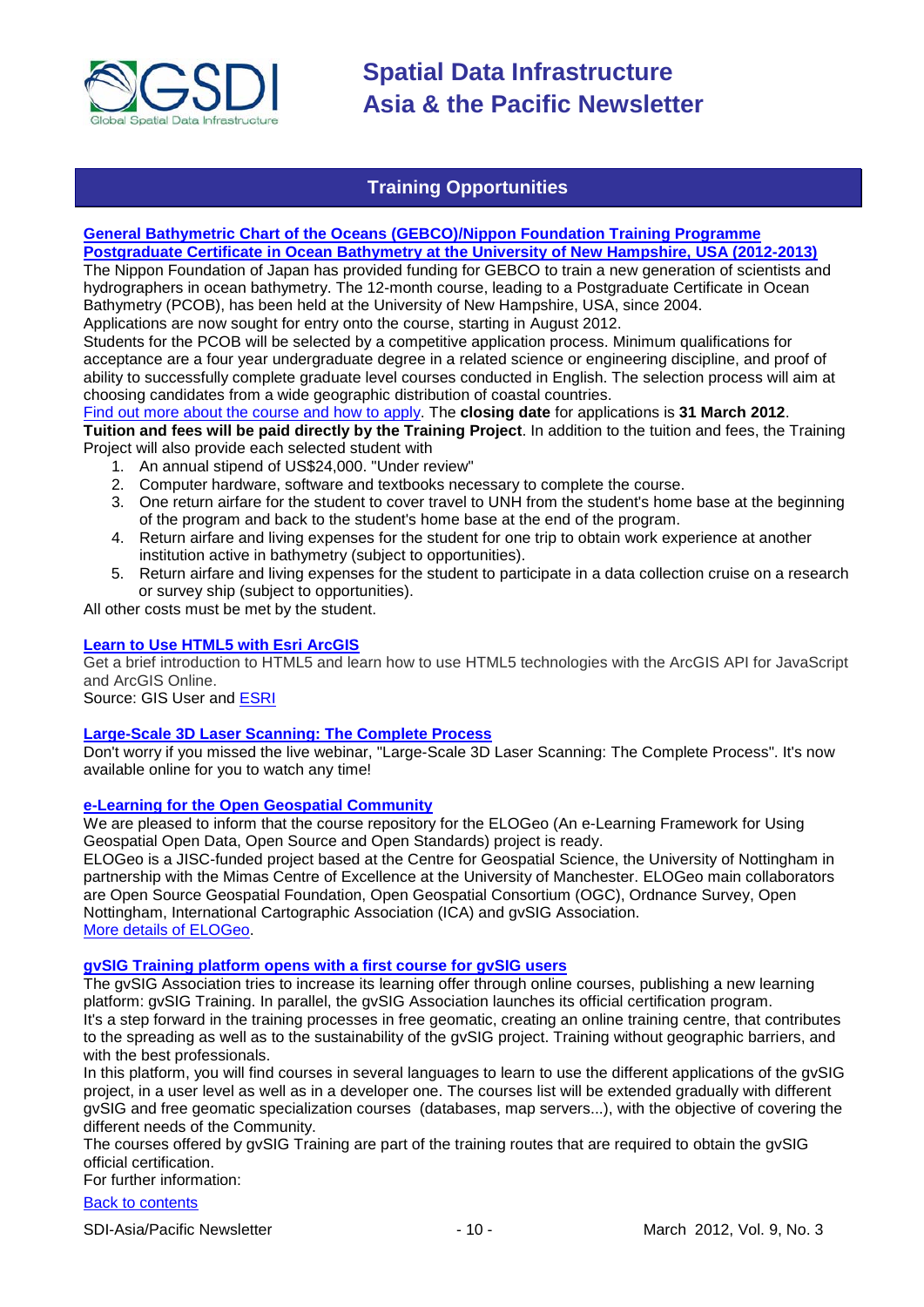

### **Training Opportunities**

#### <span id="page-9-0"></span>**[General Bathymetric Chart of the Oceans \(GEBCO\)/Nippon Foundation Training Programme](http://www.gebco.net/training/training_project/#training3) [Postgraduate Certificate in Ocean Bathymetry at the University of New Hampshire, USA \(2012-2013\)](http://www.gebco.net/training/training_project/#training3)**

The Nippon Foundation of Japan has provided funding for GEBCO to train a new generation of scientists and hydrographers in ocean bathymetry. The 12-month course, leading to a Postgraduate Certificate in Ocean Bathymetry (PCOB), has been held at the University of New Hampshire, USA, since 2004.

Applications are now sought for entry onto the course, starting in August 2012.

Students for the PCOB will be selected by a competitive application process. Minimum qualifications for acceptance are a four year undergraduate degree in a related science or engineering discipline, and proof of ability to successfully complete graduate level courses conducted in English. The selection process will aim at choosing candidates from a wide geographic distribution of coastal countries.

Find out more about [the course and how to apply.](http://www.gebco.net/training/training_project/#training3) The **closing date** for applications is **31 March 2012**. **Tuition and fees will be paid directly by the Training Project**. In addition to the tuition and fees, the Training

Project will also provide each selected student with 1. An annual stipend of US\$24,000. "Under review"

- 2. Computer hardware, software and textbooks necessary to complete the course.
- 3. One return airfare for the student to cover travel to UNH from the student's home base at the beginning of the program and back to the student's home base at the end of the program.
- 4. Return airfare and living expenses for the student for one trip to obtain work experience at another institution active in bathymetry (subject to opportunities).
- 5. Return airfare and living expenses for the student to participate in a data collection cruise on a research or survey ship (subject to opportunities).

All other costs must be met by the student.

#### **[Learn to Use HTML5 with Esri ArcGIS](http://www.gisuser.com/content/view/25915/2/)**

Get a brief introduction to HTML5 and learn how to use HTML5 technologies with the ArcGIS API for JavaScript and ArcGIS Online.

Source: GIS User and [ESRI](http://training.esri.com/Gateway/index.cfm?fa=seminars.gateway)

#### **[Large-Scale 3D Laser Scanning: The Complete Process](http://www.faro.com/site/resources/details/1373?CampaignId=70170000000bbwr)**

Don't worry if you missed the live webinar, "Large-Scale 3D Laser Scanning: The Complete Process". It's now available online for you to watch any time!

#### **[e-Learning for the Open Geospatial Community](http://elogeo.nottingham.ac.uk/xmlui)**

We are pleased to inform that the course repository for the ELOGeo (An e-Learning Framework for Using Geospatial Open Data, Open Source and Open Standards) project is ready.

ELOGeo is a JISC-funded project based at the Centre for Geospatial Science, the University of Nottingham in partnership with the Mimas Centre of Excellence at the University of Manchester. ELOGeo main collaborators are Open Source Geospatial Foundation, Open Geospatial Consortium (OGC), Ordnance Survey, Open Nottingham, International Cartographic Association (ICA) and gvSIG Association. [More details of ELOGeo.](http://elogeo.nottingham.ac.uk/index.html)

#### **gvSIG Training platform opens with a first course for gvSIG users**

The gvSIG Association tries to increase its learning offer through online courses, publishing a new learning platform: gvSIG Training. In parallel, the gvSIG Association launches its official certification program. It's a step forward in the training processes in free geomatic, creating an online training centre, that contributes to the spreading as well as to the sustainability of the gvSIG project. Training without geographic barriers, and with the best professionals.

In this platform, you will find courses in several languages to learn to use the different applications of the gvSIG project, in a user level as well as in a developer one. The courses list will be extended gradually with different gvSIG and free geomatic specialization courses (databases, map servers...), with the objective of covering the different needs of the Community.

The courses offered by gvSIG Training are part of the training routes that are required to obtain the gvSIG official certification.

For further information:

#### [Back to contents](#page-0-0)

SDI-Asia/Pacific Newsletter 1992 10 - 10 - March 2012, Vol. 9, No. 3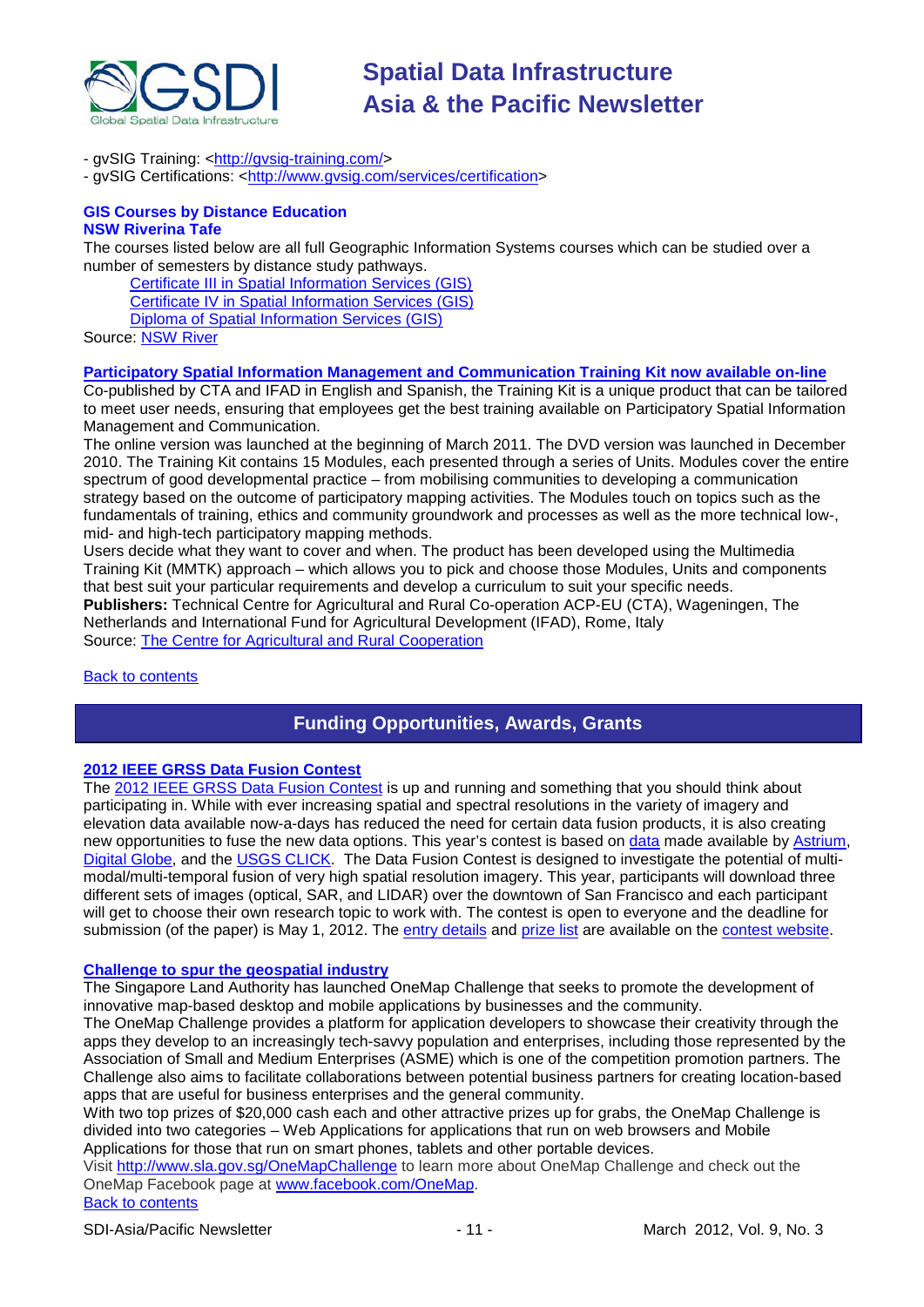

- gvSIG Training: [<http://gvsig-training.com/>](http://gvsig-training.com/)

- gvSIG Certifications: [<http://www.gvsig.com/services/certification>](http://www.gvsig.com/services/certification)

#### **GIS Courses by Distance Education NSW Riverina Tafe**

The courses listed below are all full Geographic Information Systems courses which can be studied over a number of semesters by distance study pathways.

[Certificate III in Spatial Information Services \(GIS\)](http://www.rit.tafensw.edu.au/nec/nrme/giscourses#Cert III in Spatial Information Services (CPP30109))

[Certificate IV in Spatial Information Services \(GIS\)](http://www.rit.tafensw.edu.au/nec/nrme/giscourses#Cert IV in Spatial Information Services (CPP40209))

[Diploma of Spatial Information Services \(GIS\)](http://www.rit.tafensw.edu.au/nec/nrme/giscourses#Diploma of Spatial Information Services (CPP50207))

Sourc[e: NSW River](http://www.rit.tafensw.edu.au/nec/nrme/giscourses)

#### **[Participatory Spatial Information Management and Communication Training Kit now available on-line](http://www.cta.int/en/About-us/CTA-news/Participatory-Spatial-Information-Management-and-Communication-Training-Kit-now-available-on-line)**

Co-published by CTA and IFAD in English and Spanish, the Training Kit is a unique product that can be tailored to meet user needs, ensuring that employees get the best training available on Participatory Spatial Information Management and Communication.

The [online version](http://pgis-tk.cta.int/) was launched at the beginning of March 2011. The DVD version was launched in December 2010. The Training Kit contains 15 Modules, each presented through a series of Units. Modules cover the entire spectrum of good developmental practice – from mobilising communities to developing a communication strategy based on the outcome of participatory mapping activities. The Modules touch on topics such as the fundamentals of training, ethics and community groundwork and processes as well as the more technical low-, mid- and high-tech participatory mapping methods.

Users decide what they want to cover and when. The product has been developed using the Multimedia Training Kit (MMTK) approach – which allows you to pick and choose those Modules, Units and components that best suit your particular requirements and develop a curriculum to suit your specific needs. **Publishers:** Technical Centre for Agricultural and Rural Co-operation ACP-EU (CTA), Wageningen, The Netherlands and International Fund for Agricultural Development (IFAD), Rome, Italy Source: [The Centre for Agricultural and Rural Cooperation](http://www.cta.int/en/About-us/Who-we-are)

#### <span id="page-10-0"></span>[Back to contents](#page-0-0)

### **Funding Opportunities, Awards, Grants**

#### **[2012 IEEE GRSS Data Fusion Contest](http://www.digitalglobe.com/data-fusion-contest)**

The [2012 IEEE GRSS Data Fusion Contest](http://www.digitalglobe.com/data-fusion-contest) is up and running and something that you should think about participating in. While with ever increasing spatial and spectral resolutions in the variety of imagery and elevation data available now-a-days has reduced the need for certain data fusion products, it is also creating new opportunities to fuse the new data options. This year's contest is based on [data](http://www.digitalglobe.com/data-fusion-contest#/data-specifications) made available by [Astrium,](http://www.astrium-geo.com/na/) [Digital Globe,](http://www.digitalglobe.com/) and the [USGS CLICK.](http://lidar.cr.usgs.gov/) The Data Fusion Contest is designed to investigate the potential of multimodal/multi-temporal fusion of very high spatial resolution imagery. This year, participants will download three different sets of images (optical, SAR, and LIDAR) over the downtown of San Francisco and each participant will get to choose their own research topic to work with. The contest is open to everyone and the deadline for submission (of the paper) is May 1, 2012. The [entry details](http://www.digitalglobe.com/data-fusion-contest#/how-to-enter) and [prize list](http://www.digitalglobe.com/data-fusion-contest#/results-and-prizes) are available on the [contest website.](http://www.grss-ieee.org/community/technical-committees/data-fusion/data-fusion-contest/)

#### **[Challenge to spur the geospatial industry](http://geospatialworld.net/index.php?option=com_content&view=article&id=23850:challenge-to-spur-the-geospatial-industry&catid=75:miscellaneous-events)**

The Singapore Land Authority has launched OneMap Challenge that seeks to promote the development of innovative map-based desktop and mobile applications by businesses and the community.

The OneMap Challenge provides a platform for application developers to showcase their creativity through the apps they develop to an increasingly tech-savvy population and enterprises, including those represented by the Association of Small and Medium Enterprises (ASME) which is one of the competition promotion partners. The Challenge also aims to facilitate collaborations between potential business partners for creating location-based apps that are useful for business enterprises and the general community.

With two top prizes of \$20,000 cash each and other attractive prizes up for grabs, the OneMap Challenge is divided into two categories – Web Applications for applications that run on web browsers and Mobile Applications for those that run on smart phones, tablets and other portable devices.

Visit <http://www.sla.gov.sg/OneMapChallenge> to learn more about OneMap Challenge and check out the OneMap Facebook page at [www.facebook.com/OneMap.](http://www.facebook.com/OneMap)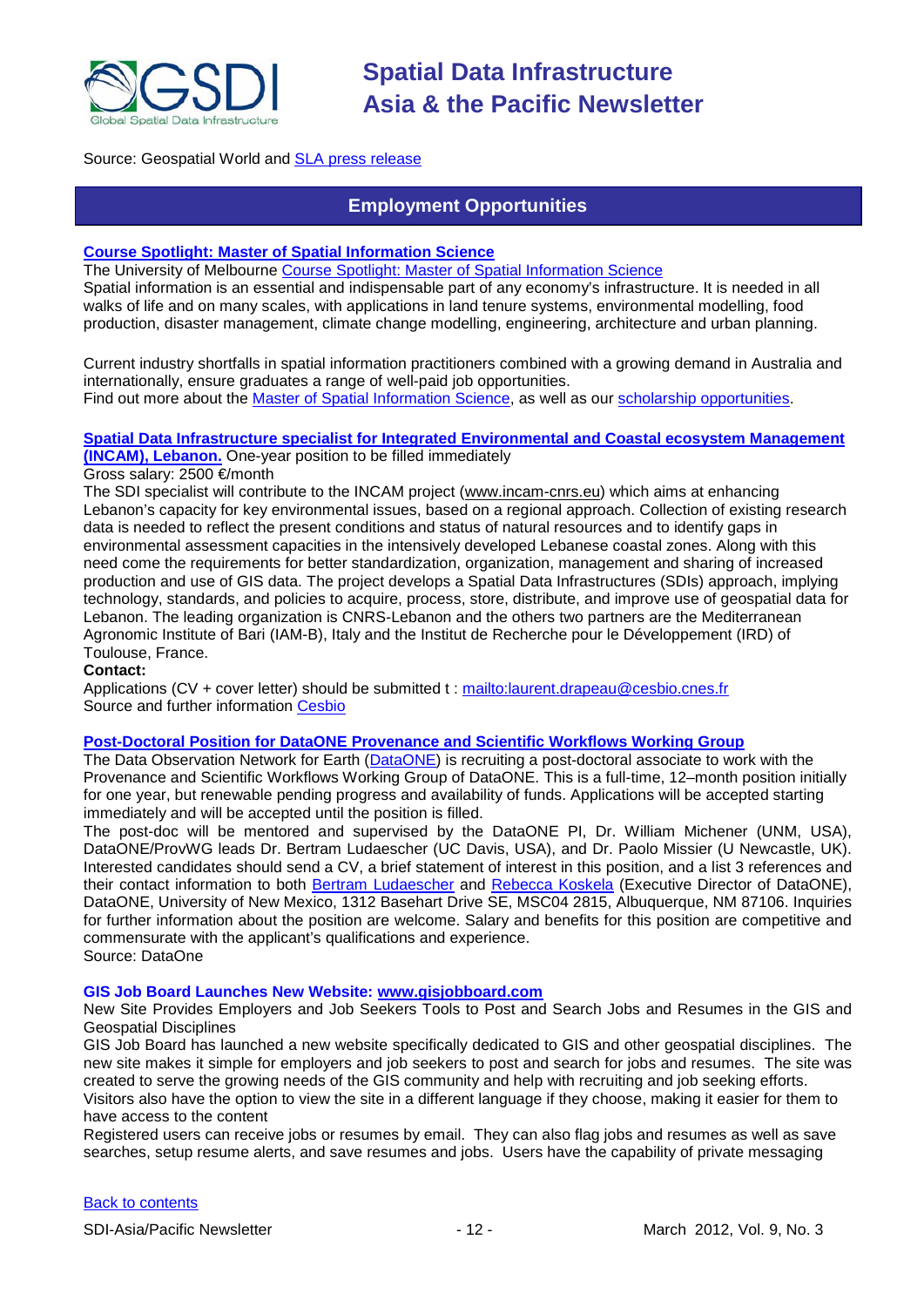

#### <span id="page-11-0"></span>Source: Geospatial World and **SLA press release**

### **Employment Opportunities**

#### **[Course Spotlight: Master of Spatial Information Science](http://themelbourneengineer.eng.unimelb.edu.au/2012/02/course-spotlight-master-of-spatial-information-science/)**

The University of Melbourne [Course Spotlight: Master of Spatial Information Science](http://themelbourneengineer.eng.unimelb.edu.au/2012/02/course-spotlight-master-of-spatial-information-science/) Spatial information is an essential and indispensable part of any economy's infrastructure. It is needed in all walks of life and on many scales, with applications in land tenure systems, environmental modelling, food production, disaster management, climate change modelling, engineering, architecture and urban planning.

Current industry shortfalls in spatial information practitioners combined with a growing demand in Australia and internationally, ensure graduates a range of well-paid job opportunities.

Find out more about the [Master of Spatial Information Science,](http://www.msi.unimelb.edu.au/study/graduate/master-of-spatial-information-science/) as well as our [scholarship opportunities.](http://www.eng.unimelb.edu.au/study/graduate/scholarships.html)

#### **[Spatial Data Infrastructure specialist for Integrated Environmental and Coastal ecosystem Management](http://www.cesbio.ups-tlse.fr/fr/temporaire/ProfilIncam.pdf)**

**[\(INCAM\), Lebanon.](http://www.cesbio.ups-tlse.fr/fr/temporaire/ProfilIncam.pdf)** One-year position to be filled immediately

Gross salary: 2500 €/month

The SDI specialist will contribute to the INCAM project (www.incam-cnrs.eu) which aims at enhancing Lebanon's capacity for key environmental issues, based on a regional approach. Collection of existing research data is needed to reflect the present conditions and status of natural resources and to identify gaps in environmental assessment capacities in the intensively developed Lebanese coastal zones. Along with this need come the requirements for better standardization, organization, management and sharing of increased production and use of GIS data. The project develops a Spatial Data Infrastructures (SDIs) approach, implying technology, standards, and policies to acquire, process, store, distribute, and improve use of geospatial data for Lebanon. The leading organization is CNRS-Lebanon and the others two partners are the Mediterranean Agronomic Institute of Bari (IAM-B), Italy and the Institut de Recherche pour le Développement (IRD) of Toulouse, France.

#### **Contact:**

Applications (CV + cover letter) should be submitted t :<mailto:laurent.drapeau@cesbio.cnes.fr> Source and further information [Cesbio](http://www.cesbio.ups-tlse.fr/fr/temporaire/ProfilIncam.pdf)

#### **[Post-Doctoral Position for DataONE Provenance and Scientific Workflows Working Group](https://www.dataone.org/content/post-doctoral-position-dataone-provenance-and-scientific-workflows-working-group)**

The Data Observation Network for Earth [\(DataONE\)](http://dataone.org/) is recruiting a post-doctoral associate to work with the Provenance and Scientific Workflows Working Group of DataONE. This is a full-time, 12–month position initially for one year, but renewable pending progress and availability of funds. Applications will be accepted starting immediately and will be accepted until the position is filled.

The post-doc will be mentored and supervised by the DataONE PI, Dr. William Michener (UNM, USA), DataONE/ProvWG leads Dr. Bertram Ludaescher (UC Davis, USA), and Dr. Paolo Missier (U Newcastle, UK). Interested candidates should send a CV, a brief statement of interest in this position, and a list 3 references and their contact information to both [Bertram Ludaescher](mailto:ludaesch@ucdavis.edu) and [Rebecca Koskela](mailto:rkoskela@unm.edu) (Executive Director of DataONE), DataONE, University of New Mexico, 1312 Basehart Drive SE, MSC04 2815, Albuquerque, NM 87106. Inquiries for further information about the position are welcome. Salary and benefits for this position are competitive and commensurate with the applicant's qualifications and experience. Source: DataOne

#### **GIS Job Board Launches New Website: [www.gisjobboard.com](http://www.gisjobboard.com/)**

New Site Provides Employers and Job Seekers Tools to Post and Search Jobs and Resumes in the GIS and Geospatial Disciplines

GIS Job Board has launched a new website specifically dedicated to GIS and other geospatial disciplines. The new site makes it simple for employers and job seekers to post and search for jobs and resumes. The site was created to serve the growing needs of the GIS community and help with recruiting and job seeking efforts.

Visitors also have the option to view the site in a different language if they choose, making it easier for them to have access to the content

Registered users can receive jobs or resumes by email. They can also flag jobs and resumes as well as save searches, setup resume alerts, and save resumes and jobs. Users have the capability of private messaging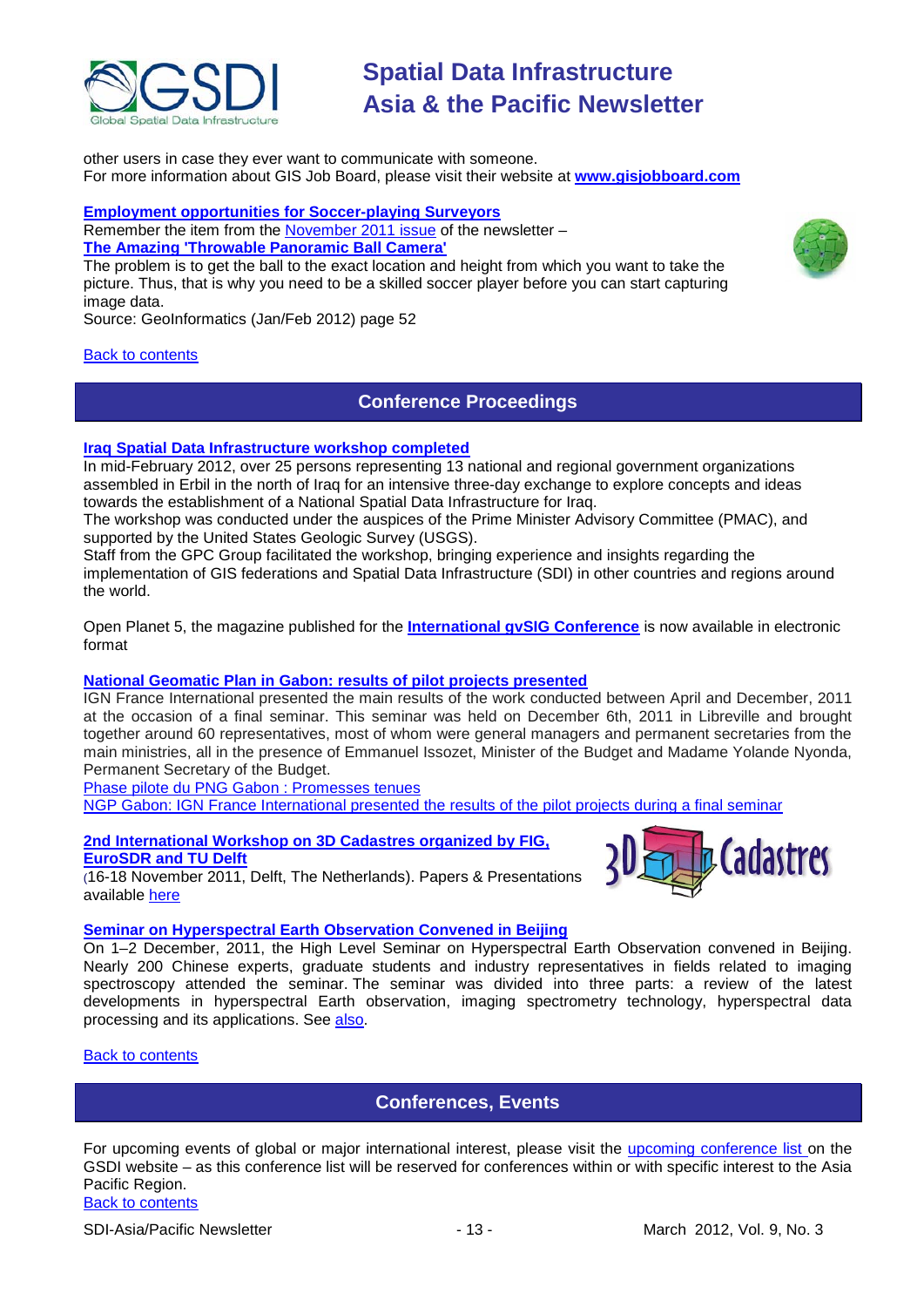

other users in case they ever want to communicate with someone. For more information about GIS Job Board, please visit their website at **[www.gisjobboard.com](http://www.gisjobboard.com/)**

### **[Employment opportunities for Soccer-playing Surveyors](http://fluidbook.geoinformatics.com/GEO-Informatics_1_2012/#/52/)**

Remember the item from the [November 2011 issue](http://www.gsdi.org/newsletters.asp) of the newsletter – **[The Amazing 'Throwable Panoramic Ball Camera'](http://www.theatlantic.com/video/archive/2011/10/the-amazing-throwable-panoramic-ball-camera/247089/)**

The problem is to get the ball to the exact location and height from which you want to take the picture. Thus, that is why you need to be a skilled soccer player before you can start capturing image data.

Source: GeoInformatics (Jan/Feb 2012) page 52

#### <span id="page-12-0"></span>[Back to contents](#page-0-0)

### **Conference Proceedings**

#### **[Iraq Spatial Data Infrastructure workshop completed](http://www.ameinfo.com/290564.html)**

In mid-February 2012, over 25 persons representing 13 national and regional government organizations assembled in Erbil in the north of Iraq for an intensive three-day exchange to explore concepts and ideas towards the establishment of a National Spatial Data Infrastructure for Iraq.

The workshop was conducted under the auspices of the Prime Minister Advisory Committee (PMAC), and supported by the United States Geologic Survey (USGS).

Staff from the GPC Group facilitated the workshop, bringing experience and insights regarding the implementation of GIS federations and Spatial Data Infrastructure (SDI) in other countries and regions around the world.

[Open Planet 5, the magazine published for the](http://jornadas.gvsig.org/descargas/magazine) **International gvSIG Conference** is now available in electronic [format](http://jornadas.gvsig.org/descargas/magazine)

#### **[National Geomatic Plan in Gabon: results of pilot projects presented](http://www.ignfi.fr/en/content/pilot-phase-ngp-gabon-expectations-were-met)**

IGN France International presented the main results of the work conducted between April and December, 2011 at the occasion of a final seminar. This seminar was held on December 6th, 2011 in Libreville and brought together around 60 representatives, most of whom were general managers and permanent secretaries from the main ministries, all in the presence of Emmanuel Issozet, Minister of the Budget and Madame Yolande Nyonda, Permanent Secretary of the Budget.

[Phase pilote du PNG Gabon : Promesses tenues](http://www.ignfi.fr/fr/content/phase-pilote-du-png-gabon-promesses-tenues)

[NGP Gabon: IGN France International presented the results of the pilot projects during a final seminar](http://www.ignfi.fr/en/content/ngp-gabon-ign-france-international-presented-results-pilot-projects-during-final-seminar)

**[2nd International Workshop on 3D Cadastres organized by FIG,](http://www.3dcadastres2011.nl/)  [EuroSDR and TU Delft](http://www.3dcadastres2011.nl/)** 

(16-18 November 2011, Delft, The Netherlands). Papers & Presentations available [here](http://3dcadastres2011.nl/programme/)

#### **[Seminar on Hyperspectral Earth Observation Convened in Beijing](http://www.asmmag.com/201112162780/seminar-on-hyperspectral-earth-observation-convened-in-beijing.html)**

On 1–2 December, 2011, the High Level Seminar on Hyperspectral Earth Observation convened in Beijing. Nearly 200 Chinese experts, graduate students and industry representatives in fields related to imaging spectroscopy attended the seminar. The seminar was divided into three parts: a review of the latest developments in hyperspectral Earth observation, imaging spectrometry technology, hyperspectral data processing and its applications. See [also.](http://english.ceode.cas.cn/ns/icn/201112/t20111212_79976.html)

#### <span id="page-12-1"></span>[Back to contents](#page-0-0)

### **Conferences, Events**

For upcoming events of global or major international interest, please visit the [upcoming conference list o](http://gsdi.org/events/upcnf.asp)n the GSDI website – as this conference list will be reserved for conferences within or with specific interest to the Asia Pacific Region.





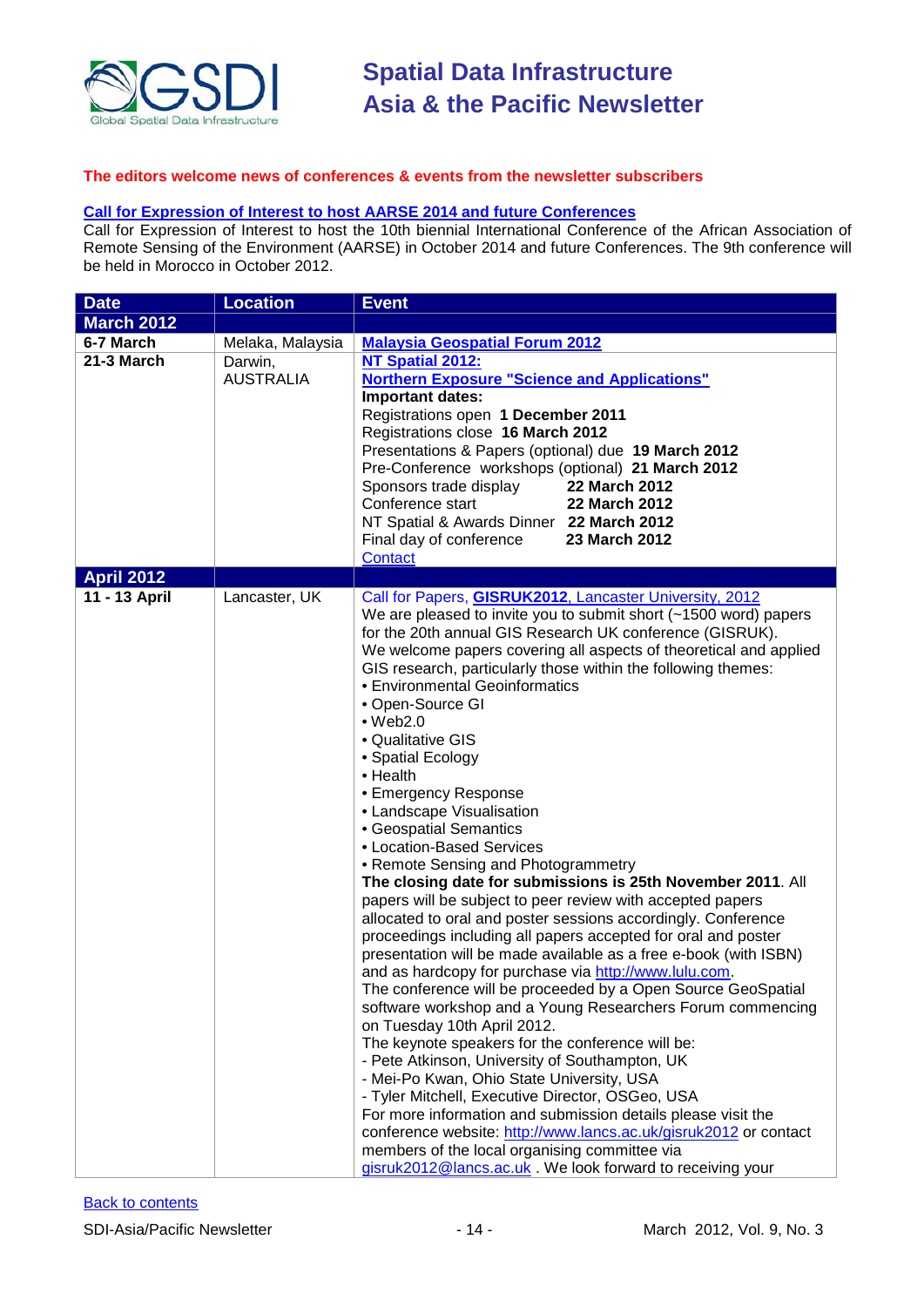

#### **The editors welcome news of conferences & events from the newsletter subscribers**

#### **[Call for Expression of Interest to host AARSE 2014 and future Conferences](http://lists.gsdi.org/pipermail/sdi-africa/2010-November/001135.html)**

Call for Expression of Interest to host the 10th biennial International Conference of the African Association of Remote Sensing of the Environment (AARSE) in October 2014 and future Conferences. The 9th conference will be held in Morocco in October 2012.

| <b>Date</b>       | <b>Location</b>             | <b>Event</b>                                                                                                                                                                                                                                                                                                                                                                                                                                                                                                                                                                                                                                                                                                                                                                                                                                                                                                                                                                                                                                                                                                                                                                                                                                                                                                                                                                                                                                                                                                                                                                                                                 |
|-------------------|-----------------------------|------------------------------------------------------------------------------------------------------------------------------------------------------------------------------------------------------------------------------------------------------------------------------------------------------------------------------------------------------------------------------------------------------------------------------------------------------------------------------------------------------------------------------------------------------------------------------------------------------------------------------------------------------------------------------------------------------------------------------------------------------------------------------------------------------------------------------------------------------------------------------------------------------------------------------------------------------------------------------------------------------------------------------------------------------------------------------------------------------------------------------------------------------------------------------------------------------------------------------------------------------------------------------------------------------------------------------------------------------------------------------------------------------------------------------------------------------------------------------------------------------------------------------------------------------------------------------------------------------------------------------|
| <b>March 2012</b> |                             |                                                                                                                                                                                                                                                                                                                                                                                                                                                                                                                                                                                                                                                                                                                                                                                                                                                                                                                                                                                                                                                                                                                                                                                                                                                                                                                                                                                                                                                                                                                                                                                                                              |
| 6-7 March         | Melaka, Malaysia            | <b>Malaysia Geospatial Forum 2012</b>                                                                                                                                                                                                                                                                                                                                                                                                                                                                                                                                                                                                                                                                                                                                                                                                                                                                                                                                                                                                                                                                                                                                                                                                                                                                                                                                                                                                                                                                                                                                                                                        |
| 21-3 March        | Darwin,<br><b>AUSTRALIA</b> | NT Spatial 2012:<br><b>Northern Exposure "Science and Applications"</b><br>Important dates:<br>Registrations open 1 December 2011<br>Registrations close 16 March 2012<br>Presentations & Papers (optional) due 19 March 2012<br>Pre-Conference workshops (optional) 21 March 2012<br>Sponsors trade display<br>22 March 2012<br>Conference start<br>22 March 2012<br>NT Spatial & Awards Dinner 22 March 2012<br>Final day of conference<br>23 March 2012<br>Contact                                                                                                                                                                                                                                                                                                                                                                                                                                                                                                                                                                                                                                                                                                                                                                                                                                                                                                                                                                                                                                                                                                                                                        |
| <b>April 2012</b> |                             |                                                                                                                                                                                                                                                                                                                                                                                                                                                                                                                                                                                                                                                                                                                                                                                                                                                                                                                                                                                                                                                                                                                                                                                                                                                                                                                                                                                                                                                                                                                                                                                                                              |
| 11 - 13 April     | Lancaster, UK               | Call for Papers, GISRUK2012, Lancaster University, 2012<br>We are pleased to invite you to submit short (~1500 word) papers<br>for the 20th annual GIS Research UK conference (GISRUK).<br>We welcome papers covering all aspects of theoretical and applied<br>GIS research, particularly those within the following themes:<br>• Environmental Geoinformatics<br>• Open-Source GI<br>$•$ Web2.0<br>• Qualitative GIS<br>• Spatial Ecology<br>• Health<br>• Emergency Response<br>• Landscape Visualisation<br>• Geospatial Semantics<br>• Location-Based Services<br>• Remote Sensing and Photogrammetry<br>The closing date for submissions is 25th November 2011. All<br>papers will be subject to peer review with accepted papers<br>allocated to oral and poster sessions accordingly. Conference<br>proceedings including all papers accepted for oral and poster<br>presentation will be made available as a free e-book (with ISBN)<br>and as hardcopy for purchase via http://www.lulu.com.<br>The conference will be proceeded by a Open Source GeoSpatial<br>software workshop and a Young Researchers Forum commencing<br>on Tuesday 10th April 2012.<br>The keynote speakers for the conference will be:<br>- Pete Atkinson, University of Southampton, UK<br>- Mei-Po Kwan, Ohio State University, USA<br>- Tyler Mitchell, Executive Director, OSGeo, USA<br>For more information and submission details please visit the<br>conference website: http://www.lancs.ac.uk/gisruk2012 or contact<br>members of the local organising committee via<br>gisruk2012@lancs.ac.uk. We look forward to receiving your |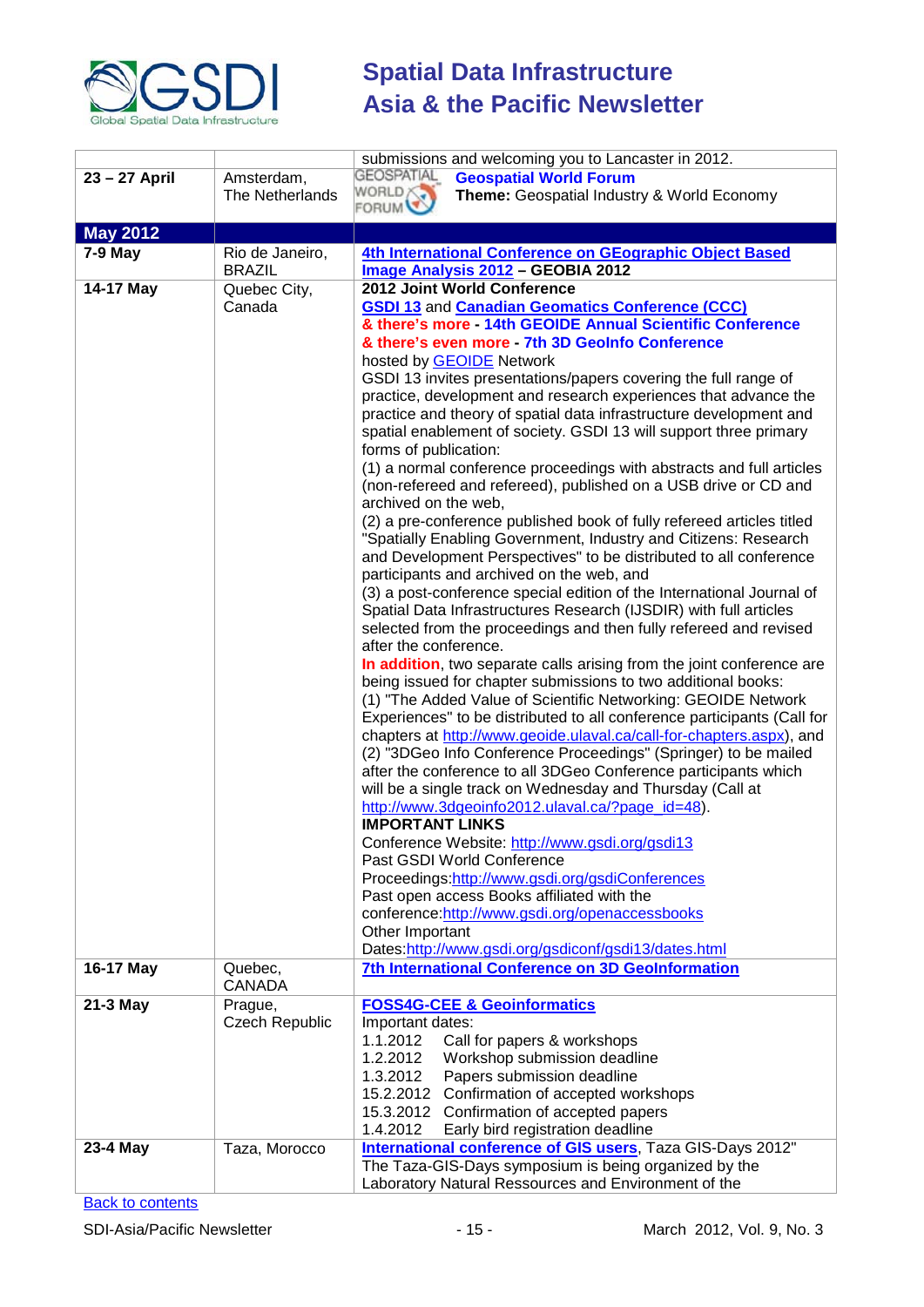

|                 |                          | submissions and welcoming you to Lancaster in 2012.                                                                                             |
|-----------------|--------------------------|-------------------------------------------------------------------------------------------------------------------------------------------------|
| 23 - 27 April   | Amsterdam,               | <b>GEOSPATIAL</b><br><b>Geospatial World Forum</b>                                                                                              |
|                 | The Netherlands          | WORLD X<br>Theme: Geospatial Industry & World Economy                                                                                           |
|                 |                          | <b>FORUM</b>                                                                                                                                    |
| <b>May 2012</b> |                          |                                                                                                                                                 |
| $7-9$ May       | Rio de Janeiro,          | 4th International Conference on GEographic Object Based                                                                                         |
|                 | <b>BRAZIL</b>            | Image Analysis 2012 - GEOBIA 2012                                                                                                               |
| 14-17 May       | Quebec City,             | 2012 Joint World Conference                                                                                                                     |
|                 | Canada                   | <b>GSDI 13 and Canadian Geomatics Conference (CCC)</b>                                                                                          |
|                 |                          | & there's more - 14th GEOIDE Annual Scientific Conference                                                                                       |
|                 |                          | & there's even more - 7th 3D GeoInfo Conference                                                                                                 |
|                 |                          | hosted by GEOIDE Network                                                                                                                        |
|                 |                          | GSDI 13 invites presentations/papers covering the full range of                                                                                 |
|                 |                          | practice, development and research experiences that advance the                                                                                 |
|                 |                          | practice and theory of spatial data infrastructure development and                                                                              |
|                 |                          | spatial enablement of society. GSDI 13 will support three primary<br>forms of publication:                                                      |
|                 |                          | (1) a normal conference proceedings with abstracts and full articles                                                                            |
|                 |                          | (non-refereed and refereed), published on a USB drive or CD and                                                                                 |
|                 |                          | archived on the web,                                                                                                                            |
|                 |                          | (2) a pre-conference published book of fully refereed articles titled                                                                           |
|                 |                          | "Spatially Enabling Government, Industry and Citizens: Research                                                                                 |
|                 |                          | and Development Perspectives" to be distributed to all conference                                                                               |
|                 |                          | participants and archived on the web, and                                                                                                       |
|                 |                          | (3) a post-conference special edition of the International Journal of                                                                           |
|                 |                          | Spatial Data Infrastructures Research (IJSDIR) with full articles                                                                               |
|                 |                          | selected from the proceedings and then fully refereed and revised                                                                               |
|                 |                          | after the conference.                                                                                                                           |
|                 |                          | In addition, two separate calls arising from the joint conference are                                                                           |
|                 |                          | being issued for chapter submissions to two additional books:                                                                                   |
|                 |                          | (1) "The Added Value of Scientific Networking: GEOIDE Network                                                                                   |
|                 |                          | Experiences" to be distributed to all conference participants (Call for<br>chapters at http://www.geoide.ulaval.ca/call-for-chapters.aspx), and |
|                 |                          | (2) "3DGeo Info Conference Proceedings" (Springer) to be mailed                                                                                 |
|                 |                          | after the conference to all 3DGeo Conference participants which                                                                                 |
|                 |                          | will be a single track on Wednesday and Thursday (Call at                                                                                       |
|                 |                          | http://www.3dgeoinfo2012.ulaval.ca/?page_id=48).                                                                                                |
|                 |                          | <b>IMPORTANT LINKS</b>                                                                                                                          |
|                 |                          | Conference Website: http://www.gsdi.org/gsdi13                                                                                                  |
|                 |                          | Past GSDI World Conference                                                                                                                      |
|                 |                          | Proceedings:http://www.gsdi.org/gsdiConferences                                                                                                 |
|                 |                          | Past open access Books affiliated with the                                                                                                      |
|                 |                          | conference: http://www.gsdi.org/openaccessbooks                                                                                                 |
|                 |                          | Other Important                                                                                                                                 |
|                 |                          | Dates:http://www.gsdi.org/gsdiconf/gsdi13/dates.html                                                                                            |
| 16-17 May       | Quebec,<br><b>CANADA</b> | 7th International Conference on 3D GeoInformation                                                                                               |
| 21-3 May        | Prague,                  | <b>FOSS4G-CEE &amp; Geoinformatics</b>                                                                                                          |
|                 | <b>Czech Republic</b>    | Important dates:                                                                                                                                |
|                 |                          | 1.1.2012<br>Call for papers & workshops                                                                                                         |
|                 |                          | 1.2.2012<br>Workshop submission deadline                                                                                                        |
|                 |                          | 1.3.2012<br>Papers submission deadline                                                                                                          |
|                 |                          | 15.2.2012 Confirmation of accepted workshops                                                                                                    |
|                 |                          | 15.3.2012 Confirmation of accepted papers                                                                                                       |
|                 |                          | 1.4.2012<br>Early bird registration deadline                                                                                                    |
| 23-4 May        | Taza, Morocco            | <b>International conference of GIS users, Taza GIS-Days 2012"</b>                                                                               |
|                 |                          | The Taza-GIS-Days symposium is being organized by the                                                                                           |
|                 |                          | Laboratory Natural Ressources and Environment of the                                                                                            |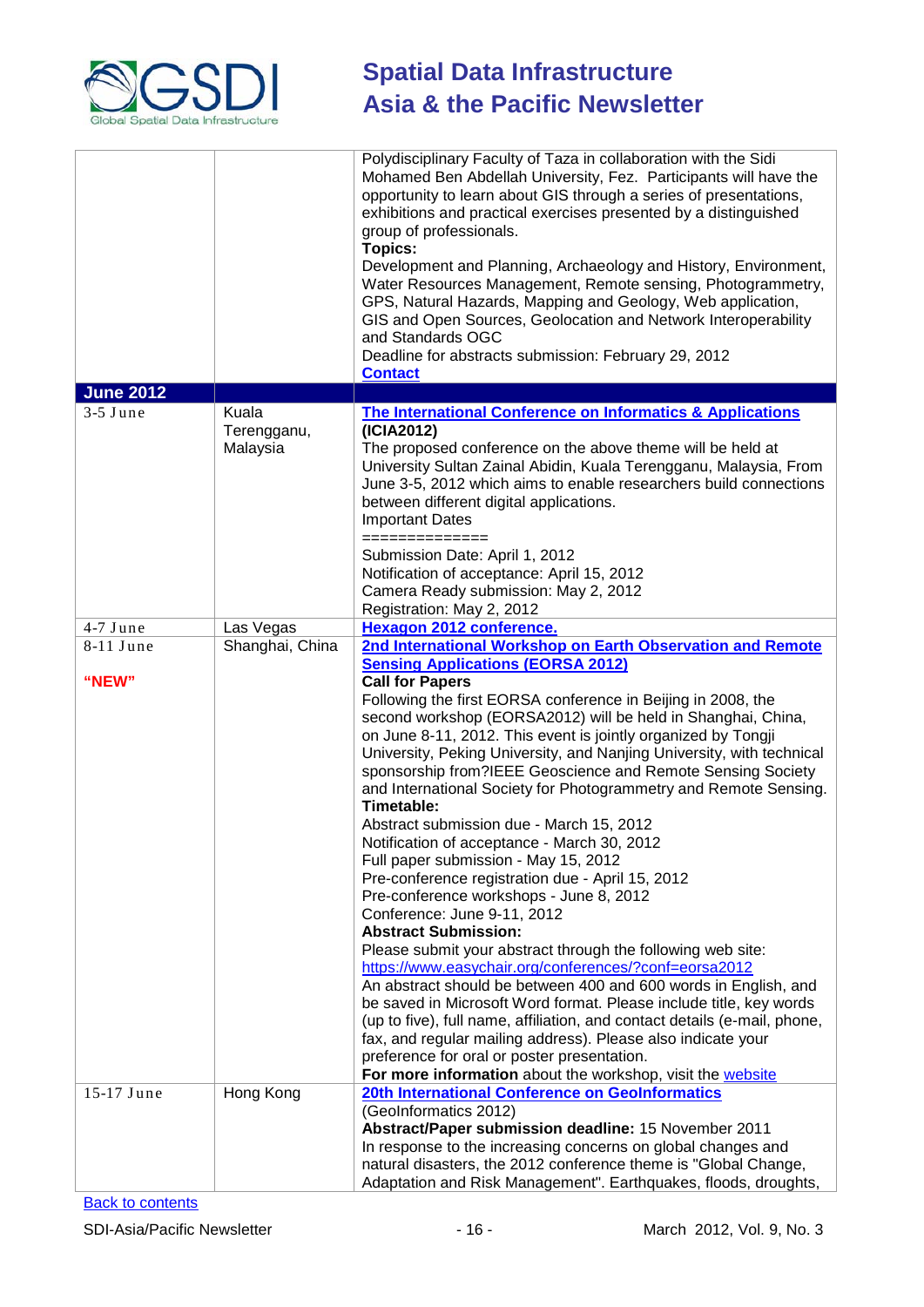

|                  |                                  | Polydisciplinary Faculty of Taza in collaboration with the Sidi<br>Mohamed Ben Abdellah University, Fez. Participants will have the<br>opportunity to learn about GIS through a series of presentations,<br>exhibitions and practical exercises presented by a distinguished<br>group of professionals.<br><b>Topics:</b><br>Development and Planning, Archaeology and History, Environment,<br>Water Resources Management, Remote sensing, Photogrammetry,<br>GPS, Natural Hazards, Mapping and Geology, Web application,<br>GIS and Open Sources, Geolocation and Network Interoperability<br>and Standards OGC<br>Deadline for abstracts submission: February 29, 2012<br><b>Contact</b>                                                                                                                                                                                                                                                                                                                                                                                                                                                                                                                                                                                                                              |
|------------------|----------------------------------|--------------------------------------------------------------------------------------------------------------------------------------------------------------------------------------------------------------------------------------------------------------------------------------------------------------------------------------------------------------------------------------------------------------------------------------------------------------------------------------------------------------------------------------------------------------------------------------------------------------------------------------------------------------------------------------------------------------------------------------------------------------------------------------------------------------------------------------------------------------------------------------------------------------------------------------------------------------------------------------------------------------------------------------------------------------------------------------------------------------------------------------------------------------------------------------------------------------------------------------------------------------------------------------------------------------------------|
| <b>June 2012</b> |                                  |                                                                                                                                                                                                                                                                                                                                                                                                                                                                                                                                                                                                                                                                                                                                                                                                                                                                                                                                                                                                                                                                                                                                                                                                                                                                                                                          |
| $3-5$ June       | Kuala<br>Terengganu,<br>Malaysia | <b>The International Conference on Informatics &amp; Applications</b><br>(ICIA2012)<br>The proposed conference on the above theme will be held at<br>University Sultan Zainal Abidin, Kuala Terengganu, Malaysia, From<br>June 3-5, 2012 which aims to enable researchers build connections<br>between different digital applications.<br><b>Important Dates</b><br>==============                                                                                                                                                                                                                                                                                                                                                                                                                                                                                                                                                                                                                                                                                                                                                                                                                                                                                                                                       |
|                  |                                  | Submission Date: April 1, 2012<br>Notification of acceptance: April 15, 2012<br>Camera Ready submission: May 2, 2012<br>Registration: May 2, 2012                                                                                                                                                                                                                                                                                                                                                                                                                                                                                                                                                                                                                                                                                                                                                                                                                                                                                                                                                                                                                                                                                                                                                                        |
| 4-7 June         | Las Vegas                        | <b>Hexagon 2012 conference.</b>                                                                                                                                                                                                                                                                                                                                                                                                                                                                                                                                                                                                                                                                                                                                                                                                                                                                                                                                                                                                                                                                                                                                                                                                                                                                                          |
| 8-11 June        | Shanghai, China                  | 2nd International Workshop on Earth Observation and Remote                                                                                                                                                                                                                                                                                                                                                                                                                                                                                                                                                                                                                                                                                                                                                                                                                                                                                                                                                                                                                                                                                                                                                                                                                                                               |
| "NEW"            |                                  | <b>Sensing Applications (EORSA 2012)</b><br><b>Call for Papers</b><br>Following the first EORSA conference in Beijing in 2008, the<br>second workshop (EORSA2012) will be held in Shanghai, China,<br>on June 8-11, 2012. This event is jointly organized by Tongji<br>University, Peking University, and Nanjing University, with technical<br>sponsorship from?IEEE Geoscience and Remote Sensing Society<br>and International Society for Photogrammetry and Remote Sensing.<br>Timetable:<br>Abstract submission due - March 15, 2012<br>Notification of acceptance - March 30, 2012<br>Full paper submission - May 15, 2012<br>Pre-conference registration due - April 15, 2012<br>Pre-conference workshops - June 8, 2012<br>Conference: June 9-11, 2012<br><b>Abstract Submission:</b><br>Please submit your abstract through the following web site:<br>https://www.easychair.org/conferences/?conf=eorsa2012<br>An abstract should be between 400 and 600 words in English, and<br>be saved in Microsoft Word format. Please include title, key words<br>(up to five), full name, affiliation, and contact details (e-mail, phone,<br>fax, and regular mailing address). Please also indicate your<br>preference for oral or poster presentation.<br>For more information about the workshop, visit the website |
| 15-17 June       | Hong Kong                        | 20th International Conference on GeoInformatics                                                                                                                                                                                                                                                                                                                                                                                                                                                                                                                                                                                                                                                                                                                                                                                                                                                                                                                                                                                                                                                                                                                                                                                                                                                                          |
|                  |                                  | (GeoInformatics 2012)<br>Abstract/Paper submission deadline: 15 November 2011<br>In response to the increasing concerns on global changes and<br>natural disasters, the 2012 conference theme is "Global Change,<br>Adaptation and Risk Management". Earthquakes, floods, droughts,                                                                                                                                                                                                                                                                                                                                                                                                                                                                                                                                                                                                                                                                                                                                                                                                                                                                                                                                                                                                                                      |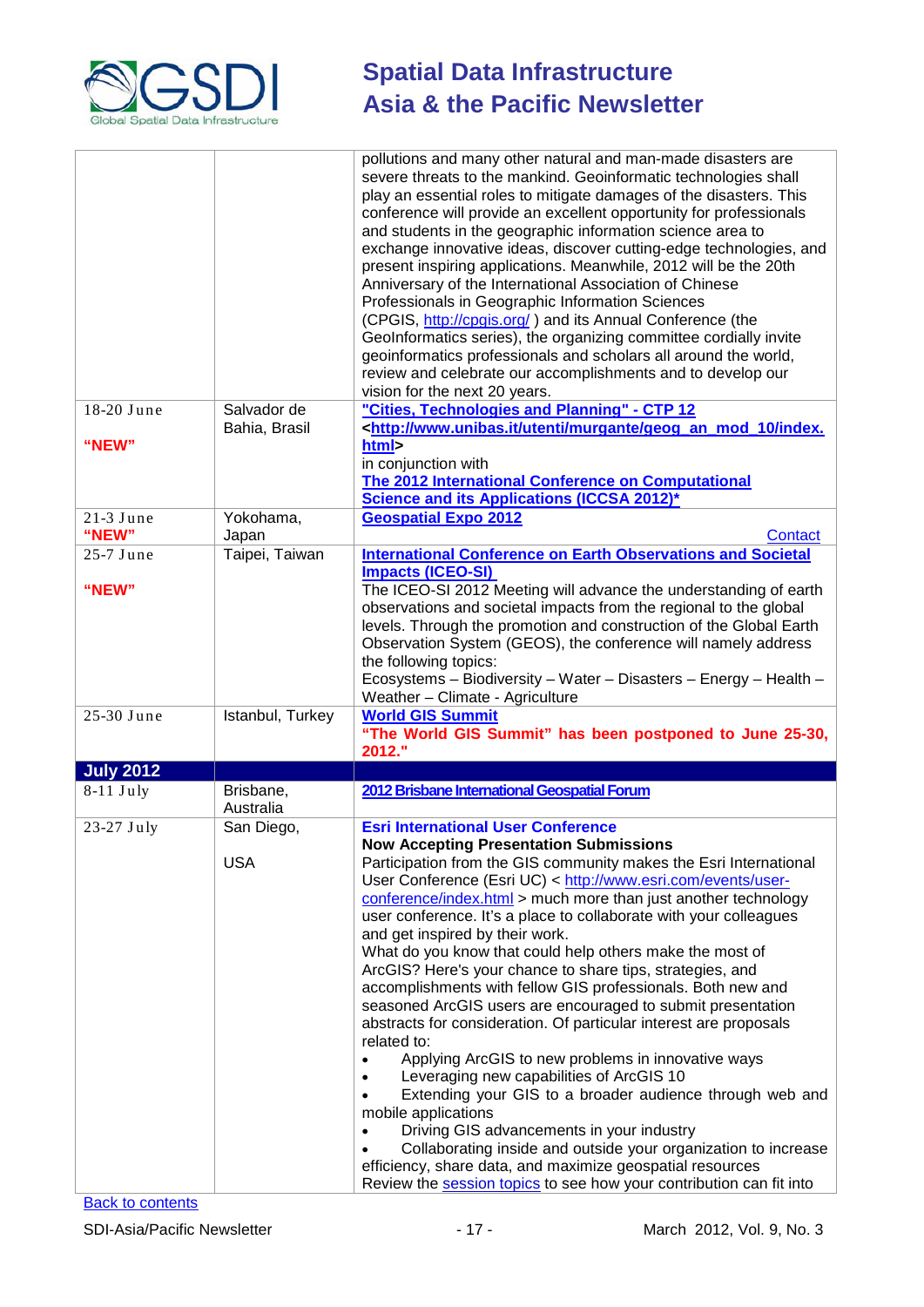

|                      |                              | pollutions and many other natural and man-made disasters are<br>severe threats to the mankind. Geoinformatic technologies shall<br>play an essential roles to mitigate damages of the disasters. This<br>conference will provide an excellent opportunity for professionals<br>and students in the geographic information science area to<br>exchange innovative ideas, discover cutting-edge technologies, and<br>present inspiring applications. Meanwhile, 2012 will be the 20th<br>Anniversary of the International Association of Chinese<br>Professionals in Geographic Information Sciences<br>(CPGIS, http://cpgis.org/) and its Annual Conference (the<br>GeoInformatics series), the organizing committee cordially invite<br>geoinformatics professionals and scholars all around the world,<br>review and celebrate our accomplishments and to develop our<br>vision for the next 20 years.                                                                                                                                                                                        |
|----------------------|------------------------------|------------------------------------------------------------------------------------------------------------------------------------------------------------------------------------------------------------------------------------------------------------------------------------------------------------------------------------------------------------------------------------------------------------------------------------------------------------------------------------------------------------------------------------------------------------------------------------------------------------------------------------------------------------------------------------------------------------------------------------------------------------------------------------------------------------------------------------------------------------------------------------------------------------------------------------------------------------------------------------------------------------------------------------------------------------------------------------------------|
| 18-20 June           | Salvador de<br>Bahia, Brasil | "Cities, Technologies and Planning" - CTP 12<br><http: geog_an_mod_10="" index.<="" murgante="" td="" utenti="" www.unibas.it=""></http:>                                                                                                                                                                                                                                                                                                                                                                                                                                                                                                                                                                                                                                                                                                                                                                                                                                                                                                                                                      |
| "NEW"                |                              | html><br>in conjunction with<br>The 2012 International Conference on Computational<br><b>Science and its Applications (ICCSA 2012)*</b>                                                                                                                                                                                                                                                                                                                                                                                                                                                                                                                                                                                                                                                                                                                                                                                                                                                                                                                                                        |
| $21-3$ June<br>"NEW" | Yokohama,<br>Japan           | <b>Geospatial Expo 2012</b><br>Contact                                                                                                                                                                                                                                                                                                                                                                                                                                                                                                                                                                                                                                                                                                                                                                                                                                                                                                                                                                                                                                                         |
| 25-7 June<br>"NEW"   | Taipei, Taiwan               | <b>International Conference on Earth Observations and Societal</b><br><b>Impacts (ICEO-SI)</b><br>The ICEO-SI 2012 Meeting will advance the understanding of earth                                                                                                                                                                                                                                                                                                                                                                                                                                                                                                                                                                                                                                                                                                                                                                                                                                                                                                                             |
|                      |                              | observations and societal impacts from the regional to the global<br>levels. Through the promotion and construction of the Global Earth<br>Observation System (GEOS), the conference will namely address<br>the following topics:<br>Ecosystems - Biodiversity - Water - Disasters - Energy - Health -<br>Weather - Climate - Agriculture                                                                                                                                                                                                                                                                                                                                                                                                                                                                                                                                                                                                                                                                                                                                                      |
| 25-30 June           | Istanbul, Turkey             | <b>World GIS Summit</b><br>"The World GIS Summit" has been postponed to June 25-30,<br>2012."                                                                                                                                                                                                                                                                                                                                                                                                                                                                                                                                                                                                                                                                                                                                                                                                                                                                                                                                                                                                  |
| <b>July 2012</b>     |                              |                                                                                                                                                                                                                                                                                                                                                                                                                                                                                                                                                                                                                                                                                                                                                                                                                                                                                                                                                                                                                                                                                                |
| $8-11$ July          | Brisbane,<br>Australia       | 2012 Brisbane International Geospatial Forum                                                                                                                                                                                                                                                                                                                                                                                                                                                                                                                                                                                                                                                                                                                                                                                                                                                                                                                                                                                                                                                   |
| 23-27 July           | San Diego,                   | <b>Esri International User Conference</b><br><b>Now Accepting Presentation Submissions</b>                                                                                                                                                                                                                                                                                                                                                                                                                                                                                                                                                                                                                                                                                                                                                                                                                                                                                                                                                                                                     |
|                      | <b>USA</b>                   | Participation from the GIS community makes the Esri International<br>User Conference (Esri UC) < http://www.esri.com/events/user-<br>conference/index.html > much more than just another technology<br>user conference. It's a place to collaborate with your colleagues<br>and get inspired by their work.<br>What do you know that could help others make the most of<br>ArcGIS? Here's your chance to share tips, strategies, and<br>accomplishments with fellow GIS professionals. Both new and<br>seasoned ArcGIS users are encouraged to submit presentation<br>abstracts for consideration. Of particular interest are proposals<br>related to:<br>Applying ArcGIS to new problems in innovative ways<br>Leveraging new capabilities of ArcGIS 10<br>Extending your GIS to a broader audience through web and<br>mobile applications<br>Driving GIS advancements in your industry<br>Collaborating inside and outside your organization to increase<br>efficiency, share data, and maximize geospatial resources<br>Review the session topics to see how your contribution can fit into |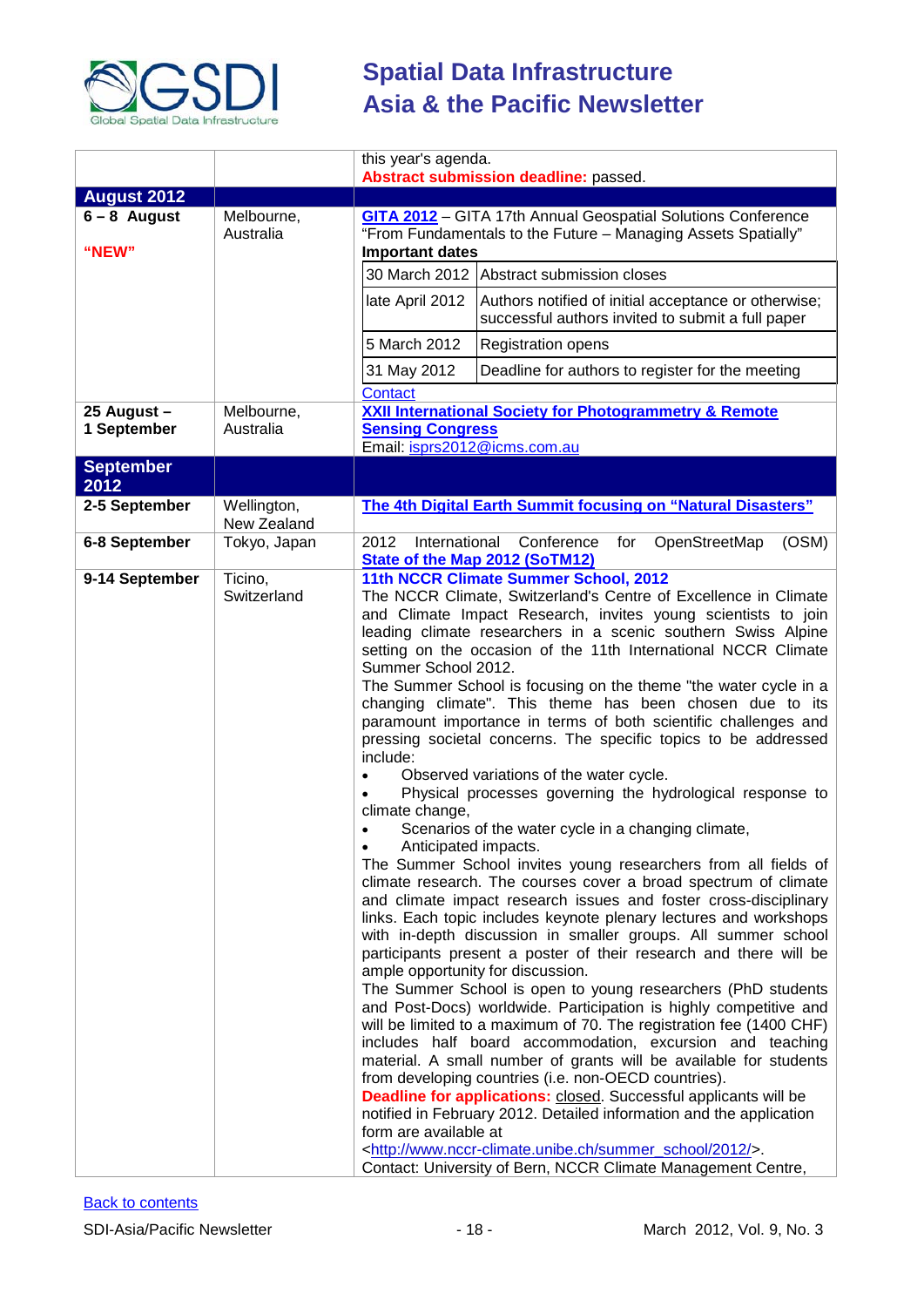

|                            |                            | this year's agenda.<br>Abstract submission deadline: passed.                                                                                                                                                                                                                                                                                                                                                                                                                                                                                                                                                                                                                                                                                                                                                                                                                                                                                                                                                                                                                                                                                                                                                                                                                                                                                                                                                                                                                                                                                                                                                                                                                                                                                                                                                                                                                                                                                                                                                                            |
|----------------------------|----------------------------|-----------------------------------------------------------------------------------------------------------------------------------------------------------------------------------------------------------------------------------------------------------------------------------------------------------------------------------------------------------------------------------------------------------------------------------------------------------------------------------------------------------------------------------------------------------------------------------------------------------------------------------------------------------------------------------------------------------------------------------------------------------------------------------------------------------------------------------------------------------------------------------------------------------------------------------------------------------------------------------------------------------------------------------------------------------------------------------------------------------------------------------------------------------------------------------------------------------------------------------------------------------------------------------------------------------------------------------------------------------------------------------------------------------------------------------------------------------------------------------------------------------------------------------------------------------------------------------------------------------------------------------------------------------------------------------------------------------------------------------------------------------------------------------------------------------------------------------------------------------------------------------------------------------------------------------------------------------------------------------------------------------------------------------------|
| <b>August 2012</b>         |                            |                                                                                                                                                                                                                                                                                                                                                                                                                                                                                                                                                                                                                                                                                                                                                                                                                                                                                                                                                                                                                                                                                                                                                                                                                                                                                                                                                                                                                                                                                                                                                                                                                                                                                                                                                                                                                                                                                                                                                                                                                                         |
| $6 - 8$ August<br>"NEW"    | Melbourne,<br>Australia    | <b>GITA 2012</b> - GITA 17th Annual Geospatial Solutions Conference<br>"From Fundamentals to the Future - Managing Assets Spatially"<br><b>Important dates</b>                                                                                                                                                                                                                                                                                                                                                                                                                                                                                                                                                                                                                                                                                                                                                                                                                                                                                                                                                                                                                                                                                                                                                                                                                                                                                                                                                                                                                                                                                                                                                                                                                                                                                                                                                                                                                                                                          |
|                            |                            | 30 March 2012 Abstract submission closes                                                                                                                                                                                                                                                                                                                                                                                                                                                                                                                                                                                                                                                                                                                                                                                                                                                                                                                                                                                                                                                                                                                                                                                                                                                                                                                                                                                                                                                                                                                                                                                                                                                                                                                                                                                                                                                                                                                                                                                                |
|                            |                            | late April 2012<br>Authors notified of initial acceptance or otherwise;<br>successful authors invited to submit a full paper                                                                                                                                                                                                                                                                                                                                                                                                                                                                                                                                                                                                                                                                                                                                                                                                                                                                                                                                                                                                                                                                                                                                                                                                                                                                                                                                                                                                                                                                                                                                                                                                                                                                                                                                                                                                                                                                                                            |
|                            |                            | 5 March 2012<br><b>Registration opens</b>                                                                                                                                                                                                                                                                                                                                                                                                                                                                                                                                                                                                                                                                                                                                                                                                                                                                                                                                                                                                                                                                                                                                                                                                                                                                                                                                                                                                                                                                                                                                                                                                                                                                                                                                                                                                                                                                                                                                                                                               |
|                            |                            | 31 May 2012<br>Deadline for authors to register for the meeting<br><b>Contact</b>                                                                                                                                                                                                                                                                                                                                                                                                                                                                                                                                                                                                                                                                                                                                                                                                                                                                                                                                                                                                                                                                                                                                                                                                                                                                                                                                                                                                                                                                                                                                                                                                                                                                                                                                                                                                                                                                                                                                                       |
| 25 August -<br>1 September | Melbourne,<br>Australia    | <b>XXII International Society for Photogrammetry &amp; Remote</b><br><b>Sensing Congress</b><br>Email: isprs2012@icms.com.au                                                                                                                                                                                                                                                                                                                                                                                                                                                                                                                                                                                                                                                                                                                                                                                                                                                                                                                                                                                                                                                                                                                                                                                                                                                                                                                                                                                                                                                                                                                                                                                                                                                                                                                                                                                                                                                                                                            |
| <b>September</b><br>2012   |                            |                                                                                                                                                                                                                                                                                                                                                                                                                                                                                                                                                                                                                                                                                                                                                                                                                                                                                                                                                                                                                                                                                                                                                                                                                                                                                                                                                                                                                                                                                                                                                                                                                                                                                                                                                                                                                                                                                                                                                                                                                                         |
| 2-5 September              | Wellington,<br>New Zealand | The 4th Digital Earth Summit focusing on "Natural Disasters"                                                                                                                                                                                                                                                                                                                                                                                                                                                                                                                                                                                                                                                                                                                                                                                                                                                                                                                                                                                                                                                                                                                                                                                                                                                                                                                                                                                                                                                                                                                                                                                                                                                                                                                                                                                                                                                                                                                                                                            |
| 6-8 September              | Tokyo, Japan               | International<br>2012<br>Conference<br>for<br>OpenStreetMap<br>(OSM)<br><b>State of the Map 2012 (SoTM12)</b>                                                                                                                                                                                                                                                                                                                                                                                                                                                                                                                                                                                                                                                                                                                                                                                                                                                                                                                                                                                                                                                                                                                                                                                                                                                                                                                                                                                                                                                                                                                                                                                                                                                                                                                                                                                                                                                                                                                           |
| 9-14 September             | Ticino,<br>Switzerland     | 11th NCCR Climate Summer School, 2012<br>The NCCR Climate, Switzerland's Centre of Excellence in Climate<br>and Climate Impact Research, invites young scientists to join<br>leading climate researchers in a scenic southern Swiss Alpine<br>setting on the occasion of the 11th International NCCR Climate<br>Summer School 2012.<br>The Summer School is focusing on the theme "the water cycle in a<br>changing climate". This theme has been chosen due to its<br>paramount importance in terms of both scientific challenges and<br>pressing societal concerns. The specific topics to be addressed<br>include:<br>Observed variations of the water cycle.<br>$\bullet$<br>Physical processes governing the hydrological response to<br>$\bullet$<br>climate change,<br>Scenarios of the water cycle in a changing climate,<br>Anticipated impacts.<br>The Summer School invites young researchers from all fields of<br>climate research. The courses cover a broad spectrum of climate<br>and climate impact research issues and foster cross-disciplinary<br>links. Each topic includes keynote plenary lectures and workshops<br>with in-depth discussion in smaller groups. All summer school<br>participants present a poster of their research and there will be<br>ample opportunity for discussion.<br>The Summer School is open to young researchers (PhD students<br>and Post-Docs) worldwide. Participation is highly competitive and<br>will be limited to a maximum of 70. The registration fee (1400 CHF)<br>includes half board accommodation, excursion and teaching<br>material. A small number of grants will be available for students<br>from developing countries (i.e. non-OECD countries).<br>Deadline for applications: closed. Successful applicants will be<br>notified in February 2012. Detailed information and the application<br>form are available at<br><http: 2012="" summer_school="" www.nccr-climate.unibe.ch=""></http:> .<br>Contact: University of Bern, NCCR Climate Management Centre, |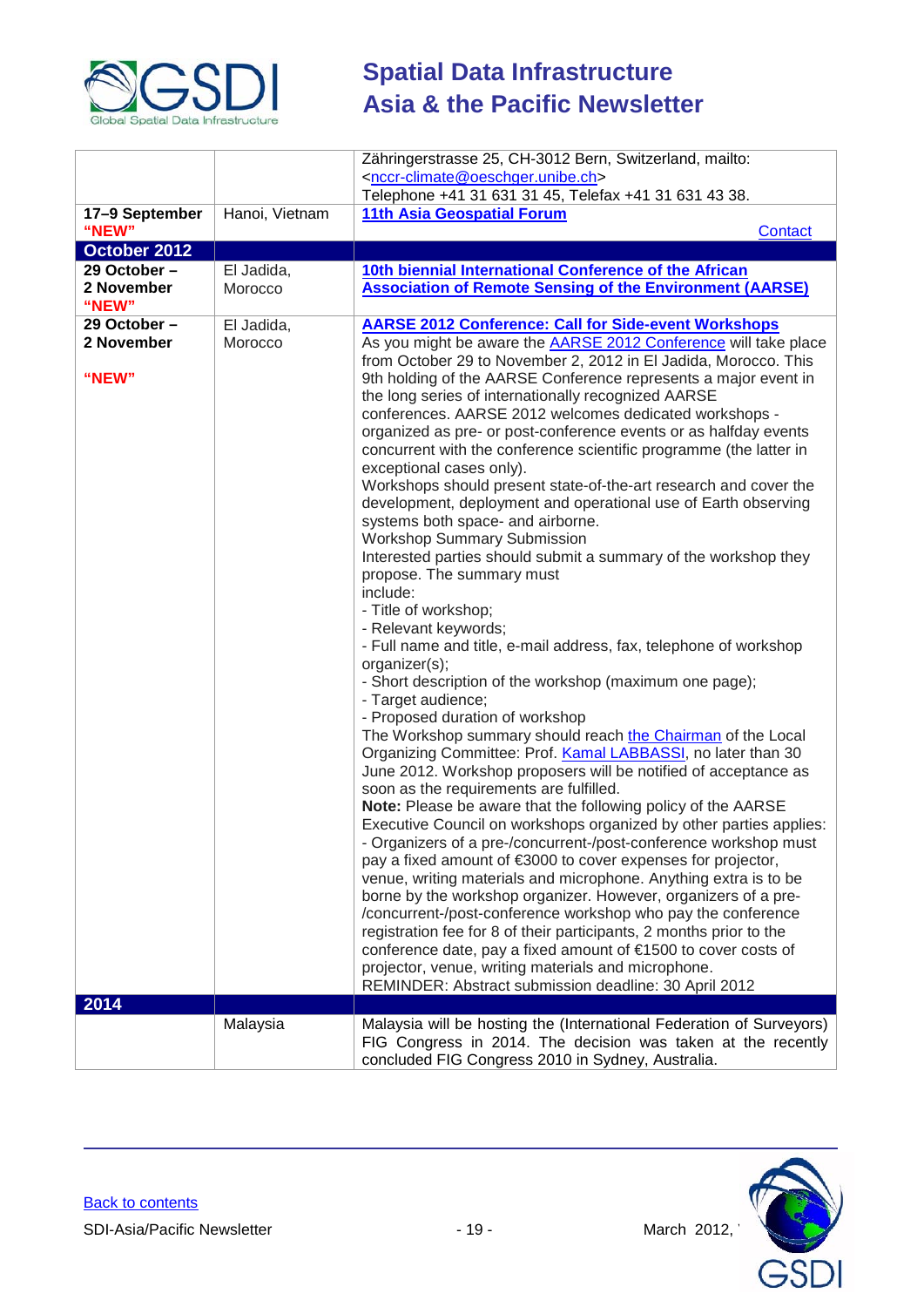

|                              |                       | Zähringerstrasse 25, CH-3012 Bern, Switzerland, mailto:                                                                                |
|------------------------------|-----------------------|----------------------------------------------------------------------------------------------------------------------------------------|
|                              |                       | <nccr-climate@oeschger.unibe.ch></nccr-climate@oeschger.unibe.ch>                                                                      |
|                              |                       | Telephone +41 31 631 31 45, Telefax +41 31 631 43 38.                                                                                  |
| 17-9 September               | Hanoi, Vietnam        | <b>11th Asia Geospatial Forum</b>                                                                                                      |
| "NEW"                        |                       | Contact                                                                                                                                |
| October 2012<br>29 October - |                       |                                                                                                                                        |
| 2 November                   | El Jadida,<br>Morocco | 10th biennial International Conference of the African<br><b>Association of Remote Sensing of the Environment (AARSE)</b>               |
| "NEW"                        |                       |                                                                                                                                        |
| 29 October -                 | El Jadida,            | <b>AARSE 2012 Conference: Call for Side-event Workshops</b>                                                                            |
| 2 November                   | Morocco               | As you might be aware the <b>AARSE 2012 Conference</b> will take place                                                                 |
|                              |                       | from October 29 to November 2, 2012 in El Jadida, Morocco. This                                                                        |
| "NEW"                        |                       | 9th holding of the AARSE Conference represents a major event in                                                                        |
|                              |                       | the long series of internationally recognized AARSE                                                                                    |
|                              |                       | conferences. AARSE 2012 welcomes dedicated workshops -                                                                                 |
|                              |                       | organized as pre- or post-conference events or as halfday events<br>concurrent with the conference scientific programme (the latter in |
|                              |                       | exceptional cases only).                                                                                                               |
|                              |                       | Workshops should present state-of-the-art research and cover the                                                                       |
|                              |                       | development, deployment and operational use of Earth observing                                                                         |
|                              |                       | systems both space- and airborne.                                                                                                      |
|                              |                       | <b>Workshop Summary Submission</b>                                                                                                     |
|                              |                       | Interested parties should submit a summary of the workshop they                                                                        |
|                              |                       | propose. The summary must                                                                                                              |
|                              |                       | include:<br>- Title of workshop;                                                                                                       |
|                              |                       | - Relevant keywords;                                                                                                                   |
|                              |                       | - Full name and title, e-mail address, fax, telephone of workshop                                                                      |
|                              |                       | organizer(s);                                                                                                                          |
|                              |                       | - Short description of the workshop (maximum one page);                                                                                |
|                              |                       | - Target audience;                                                                                                                     |
|                              |                       | - Proposed duration of workshop                                                                                                        |
|                              |                       | The Workshop summary should reach the Chairman of the Local<br>Organizing Committee: Prof. Kamal LABBASSI, no later than 30            |
|                              |                       | June 2012. Workshop proposers will be notified of acceptance as                                                                        |
|                              |                       | soon as the requirements are fulfilled.                                                                                                |
|                              |                       | Note: Please be aware that the following policy of the AARSE                                                                           |
|                              |                       | Executive Council on workshops organized by other parties applies:                                                                     |
|                              |                       | - Organizers of a pre-/concurrent-/post-conference workshop must                                                                       |
|                              |                       | pay a fixed amount of €3000 to cover expenses for projector,                                                                           |
|                              |                       | venue, writing materials and microphone. Anything extra is to be                                                                       |
|                              |                       | borne by the workshop organizer. However, organizers of a pre-                                                                         |
|                              |                       | /concurrent-/post-conference workshop who pay the conference<br>registration fee for 8 of their participants, 2 months prior to the    |
|                              |                       | conference date, pay a fixed amount of €1500 to cover costs of                                                                         |
|                              |                       | projector, venue, writing materials and microphone.                                                                                    |
|                              |                       | REMINDER: Abstract submission deadline: 30 April 2012                                                                                  |
| 2014                         |                       |                                                                                                                                        |
|                              | Malaysia              | Malaysia will be hosting the (International Federation of Surveyors)                                                                   |
|                              |                       | FIG Congress in 2014. The decision was taken at the recently                                                                           |
|                              |                       | concluded FIG Congress 2010 in Sydney, Australia.                                                                                      |